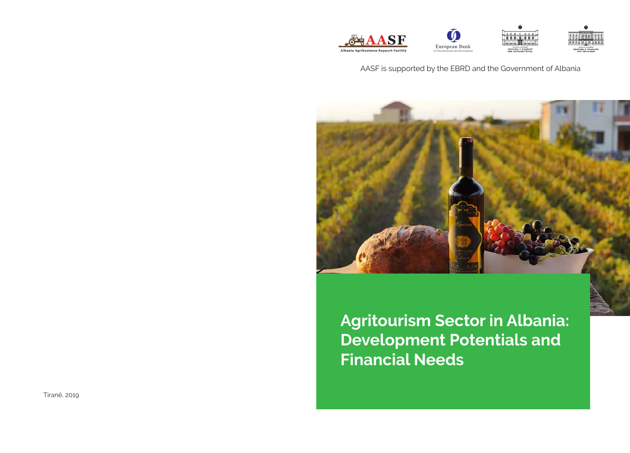







### AASF is supported by the EBRD and the Government of Albania



**Agritourism Sector in Albania: Development Potentials and Financial Needs**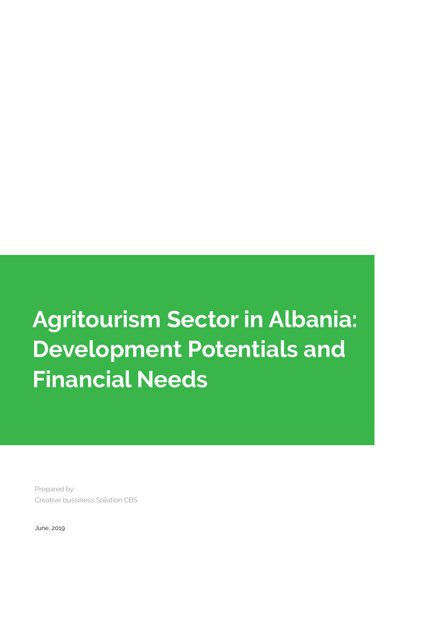# **Agritourism Sector in Albania: Development Potentials and Financial Needs**

Prepared by: Creative bussiness Solution CBS

June, 2019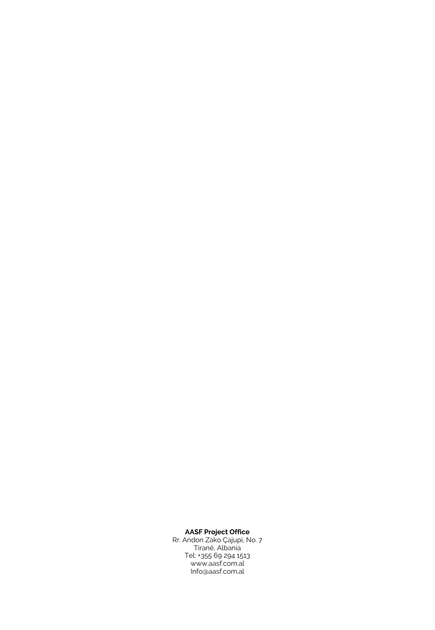#### **AASF Project Office**

Rr. Andon Zako Çajupi, No. 7 Tiranë, Albania Tel: +355 69 294 1513 www.aasf.com.al Info@aasf.com.al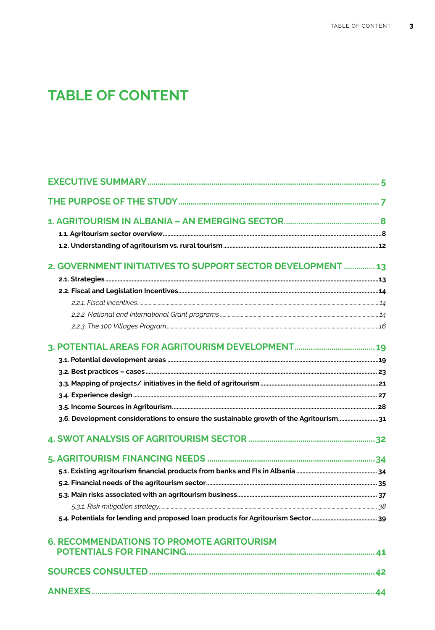# **TABLE OF CONTENT**

| 2. GOVERNMENT INITIATIVES TO SUPPORT SECTOR DEVELOPMENT  13                              |  |
|------------------------------------------------------------------------------------------|--|
|                                                                                          |  |
|                                                                                          |  |
|                                                                                          |  |
|                                                                                          |  |
|                                                                                          |  |
|                                                                                          |  |
|                                                                                          |  |
|                                                                                          |  |
|                                                                                          |  |
|                                                                                          |  |
|                                                                                          |  |
| 3. 3.6. Development considerations to ensure the sustainable growth of the Agritourism31 |  |
|                                                                                          |  |
|                                                                                          |  |
|                                                                                          |  |
|                                                                                          |  |
|                                                                                          |  |
|                                                                                          |  |
|                                                                                          |  |
| <b>6. RECOMMENDATIONS TO PROMOTE AGRITOURISM</b>                                         |  |
|                                                                                          |  |
|                                                                                          |  |
|                                                                                          |  |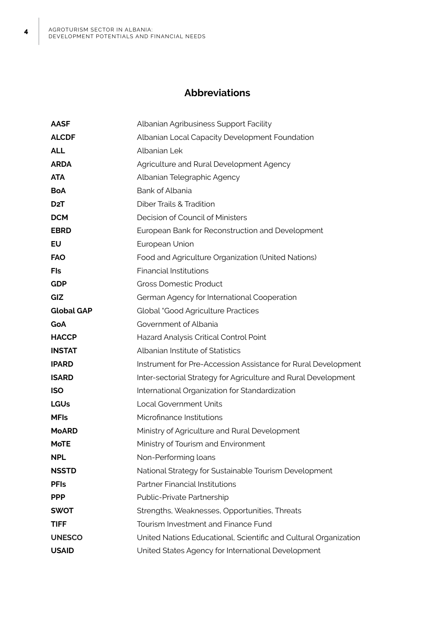### **Abbreviations**

| <b>AASF</b>       | Albanian Agribusiness Support Facility                           |  |  |  |
|-------------------|------------------------------------------------------------------|--|--|--|
| <b>ALCDF</b>      | Albanian Local Capacity Development Foundation                   |  |  |  |
| <b>ALL</b>        | Albanian Lek                                                     |  |  |  |
| <b>ARDA</b>       | Agriculture and Rural Development Agency                         |  |  |  |
| <b>ATA</b>        | Albanian Telegraphic Agency                                      |  |  |  |
| <b>BoA</b>        | Bank of Albania                                                  |  |  |  |
| D <sub>2</sub> T  | <b>Diber Trails &amp; Tradition</b>                              |  |  |  |
| <b>DCM</b>        | Decision of Council of Ministers                                 |  |  |  |
| <b>EBRD</b>       | European Bank for Reconstruction and Development                 |  |  |  |
| EU                | European Union                                                   |  |  |  |
| <b>FAO</b>        | Food and Agriculture Organization (United Nations)               |  |  |  |
| Fls               | <b>Financial Institutions</b>                                    |  |  |  |
| <b>GDP</b>        | <b>Gross Domestic Product</b>                                    |  |  |  |
| <b>GIZ</b>        | German Agency for International Cooperation                      |  |  |  |
| <b>Global GAP</b> | <b>Global "Good Agriculture Practices</b>                        |  |  |  |
| GoA               | Government of Albania                                            |  |  |  |
| <b>HACCP</b>      | Hazard Analysis Critical Control Point                           |  |  |  |
| <b>INSTAT</b>     | Albanian Institute of Statistics                                 |  |  |  |
| <b>IPARD</b>      | Instrument for Pre-Accession Assistance for Rural Development    |  |  |  |
| <b>ISARD</b>      | Inter-sectorial Strategy for Agriculture and Rural Development   |  |  |  |
| <b>ISO</b>        | International Organization for Standardization                   |  |  |  |
| <b>LGUs</b>       | <b>Local Government Units</b>                                    |  |  |  |
| <b>MFIs</b>       | Microfinance Institutions                                        |  |  |  |
| <b>MoARD</b>      | Ministry of Agriculture and Rural Development                    |  |  |  |
| <b>MoTE</b>       | Ministry of Tourism and Environment                              |  |  |  |
| <b>NPL</b>        | Non-Performing loans                                             |  |  |  |
| <b>NSSTD</b>      | National Strategy for Sustainable Tourism Development            |  |  |  |
| <b>PFIs</b>       | <b>Partner Financial Institutions</b>                            |  |  |  |
| <b>PPP</b>        | Public-Private Partnership                                       |  |  |  |
| <b>SWOT</b>       | Strengths, Weaknesses, Opportunities, Threats                    |  |  |  |
| <b>TIFF</b>       | Tourism Investment and Finance Fund                              |  |  |  |
| <b>UNESCO</b>     | United Nations Educational, Scientific and Cultural Organization |  |  |  |
| <b>USAID</b>      | United States Agency for International Development               |  |  |  |
|                   |                                                                  |  |  |  |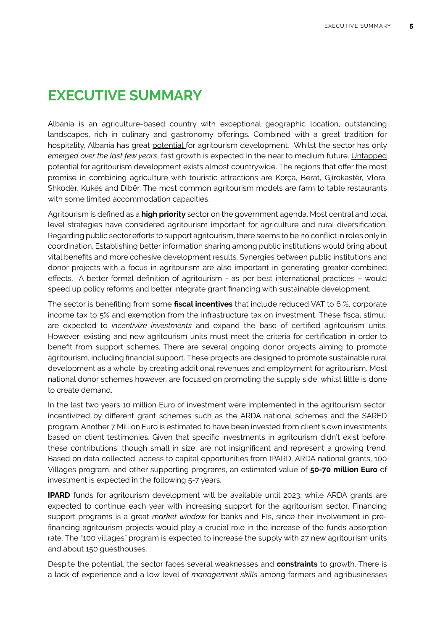## **EXECUTIVE SUMMARY**

Albania is an agriculture-based country with exceptional geographic location, outstanding landscapes, rich in culinary and gastronomy offerings. Combined with a great tradition for hospitality, Albania has great potential for agritourism development. Whilst the sector has only *emerged over the last few years*, fast growth is expected in the near to medium future. Untapped potential for agritourism development exists almost countrywide. The regions that offer the most promise in combining agriculture with touristic attractions are Korça, Berat, Gjirokastër, Vlora, Shkodër, Kukës and Dibër. The most common agritourism models are farm to table restaurants with some limited accommodation capacities.

Agritourism is defined as a **high priority** sector on the government agenda. Most central and local level strategies have considered agritourism important for agriculture and rural diversification. Regarding public sector efforts to support agritourism, there seems to be no conflict in roles only in coordination. Establishing better information sharing among public institutions would bring about vital benefits and more cohesive development results. Synergies between public institutions and donor projects with a focus in agritourism are also important in generating greater combined effects. A better formal definition of agritourism - as per best international practices – would speed up policy reforms and better integrate grant financing with sustainable development.

The sector is benefiting from some **fiscal incentives** that include reduced VAT to 6 %, corporate income tax to 5% and exemption from the infrastructure tax on investment. These fiscal stimuli are expected to *incentivize investments* and expand the base of certified agritourism units. However, existing and new agritourism units must meet the criteria for certification in order to benefit from support schemes. There are several ongoing donor projects aiming to promote agritourism, including financial support. These projects are designed to promote sustainable rural development as a whole, by creating additional revenues and employment for agritourism. Most national donor schemes however, are focused on promoting the supply side, whilst little is done to create demand.

In the last two years 10 million Euro of investment were implemented in the agritourism sector, incentivized by different grant schemes such as the ARDA national schemes and the SARED program. Another 7 Million Euro is estimated to have been invested from client's own investments based on client testimonies. Given that specific investments in agritourism didn't exist before, these contributions, though small in size, are not insignificant and represent a growing trend. Based on data collected, access to capital opportunities from IPARD, ARDA national grants, 100 Villages program, and other supporting programs, an estimated value of **50-70 million Euro** of investment is expected in the following 5-7 years.

**IPARD** funds for agritourism development will be available until 2023, while ARDA grants are expected to continue each year with increasing support for the agritourism sector. Financing support programs is a great *market window* for banks and FIs, since their involvement in prefinancing agritourism projects would play a crucial role in the increase of the funds absorption rate. The "100 villages" program is expected to increase the supply with 27 new agritourism units and about 150 guesthouses.

Despite the potential, the sector faces several weaknesses and **constraints** to growth. There is a lack of experience and a low level of *management skills* among farmers and agribusinesses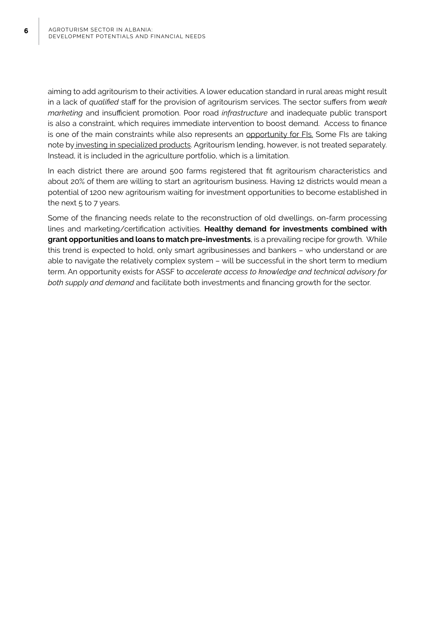aiming to add agritourism to their activities. A lower education standard in rural areas might result in a lack of *qualified* staff for the provision of agritourism services. The sector suffers from *weak marketing* and insufficient promotion. Poor road *infrastructure* and inadequate public transport is also a constraint, which requires immediate intervention to boost demand. Access to finance is one of the main constraints while also represents an opportunity for FIs. Some FIs are taking note by investing in specialized products. Agritourism lending, however, is not treated separately. Instead, it is included in the agriculture portfolio, which is a limitation.

In each district there are around 500 farms registered that fit agritourism characteristics and about 20% of them are willing to start an agritourism business. Having 12 districts would mean a potential of 1200 new agritourism waiting for investment opportunities to become established in the next  $5$  to  $7$  years.

Some of the financing needs relate to the reconstruction of old dwellings, on-farm processing lines and marketing/certification activities. **Healthy demand for investments combined with grant opportunities and loans to match pre-investments**, is a prevailing recipe for growth. While this trend is expected to hold, only smart agribusinesses and bankers – who understand or are able to navigate the relatively complex system – will be successful in the short term to medium term. An opportunity exists for ASSF to *accelerate access to knowledge and technical advisory for both supply and demand* and facilitate both investments and financing growth for the sector.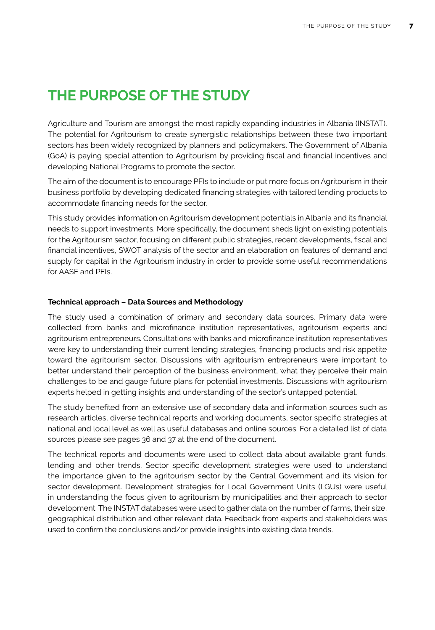# **THE PURPOSE OF THE STUDY**

Agriculture and Tourism are amongst the most rapidly expanding industries in Albania (INSTAT). The potential for Agritourism to create synergistic relationships between these two important sectors has been widely recognized by planners and policymakers. The Government of Albania (GoA) is paying special attention to Agritourism by providing fiscal and financial incentives and developing National Programs to promote the sector.

The aim of the document is to encourage PFIs to include or put more focus on Agritourism in their business portfolio by developing dedicated financing strategies with tailored lending products to accommodate financing needs for the sector.

This study provides information on Agritourism development potentials in Albania and its financial needs to support investments. More specifically, the document sheds light on existing potentials for the Agritourism sector, focusing on different public strategies, recent developments, fiscal and financial incentives, SWOT analysis of the sector and an elaboration on features of demand and supply for capital in the Agritourism industry in order to provide some useful recommendations for AASF and PFIs.

#### **Technical approach – Data Sources and Methodology**

The study used a combination of primary and secondary data sources. Primary data were collected from banks and microfinance institution representatives, agritourism experts and agritourism entrepreneurs. Consultations with banks and microfinance institution representatives were key to understanding their current lending strategies, financing products and risk appetite toward the agritourism sector. Discussions with agritourism entrepreneurs were important to better understand their perception of the business environment, what they perceive their main challenges to be and gauge future plans for potential investments. Discussions with agritourism experts helped in getting insights and understanding of the sector's untapped potential.

The study benefited from an extensive use of secondary data and information sources such as research articles, diverse technical reports and working documents, sector specific strategies at national and local level as well as useful databases and online sources. For a detailed list of data sources please see pages 36 and 37 at the end of the document.

The technical reports and documents were used to collect data about available grant funds, lending and other trends. Sector specific development strategies were used to understand the importance given to the agritourism sector by the Central Government and its vision for sector development. Development strategies for Local Government Units (LGUs) were useful in understanding the focus given to agritourism by municipalities and their approach to sector development. The INSTAT databases were used to gather data on the number of farms, their size, geographical distribution and other relevant data. Feedback from experts and stakeholders was used to confirm the conclusions and/or provide insights into existing data trends.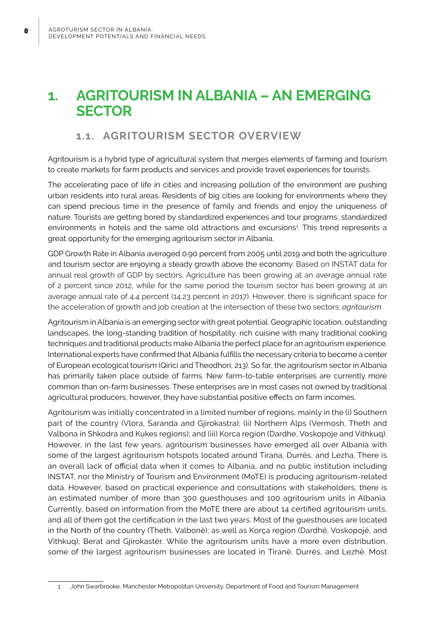# **1. AGRITOURISM IN ALBANIA – AN EMERGING SECTOR**

### **1.1. AGRITOURISM SECTOR OVERVIEW**

Agritourism is a hybrid type of agricultural system that merges elements of farming and tourism to create markets for farm products and services and provide travel experiences for tourists.

The accelerating pace of life in cities and increasing pollution of the environment are pushing urban residents into rural areas. Residents of big cities are looking for environments where they can spend precious time in the presence of family and friends and enjoy the uniqueness of nature. Tourists are getting bored by standardized experiences and tour programs, standardized environments in hotels and the same old attractions and excursions<sup>1</sup>. This trend represents a great opportunity for the emerging agritourism sector in Albania.

GDP Growth Rate in Albania averaged 0.90 percent from 2005 until 2019 and both the agriculture and tourism sector are enjoying a steady growth above the economy. Based on INSTAT data for annual real growth of GDP by sectors, Agriculture has been growing at an average annual rate of 2 percent since 2012, while for the same period the tourism sector has been growing at an average annual rate of 4.4 percent (14.23 percent in 2017). However, there is significant space for the acceleration of growth and job creation at the intersection of these two sectors: *agritourism*.

Agritourism in Albania is an emerging sector with great potential. Geographic location, outstanding landscapes, the long-standing tradition of hospitality, rich cuisine with many traditional cooking techniques and traditional products make Albania the perfect place for an agritourism experience. International experts have confirmed that Albania fulfills the necessary criteria to become a center of European ecological tourism (Qirici and Theodhori, 213). So far, the agritourism sector in Albania has primarily taken place outside of farms. New farm-to-table enterprises are currently more common than on-farm businesses. These enterprises are in most cases not owned by traditional agricultural producers, however, they have substantial positive effects on farm incomes.

Agritourism was initially concentrated in a limited number of regions, mainly in the (i) Southern part of the country (Vlora, Saranda and Gjirokastra); (ii) Northern Alps (Vermosh, Theth and Valbona in Shkodra and Kukes regions); and (iii) Korca region (Dardhe, Voskopoje and Vithkuq). However, in the last few years, agritourism businesses have emerged all over Albania with some of the largest agritourism hotspots located around Tirana, Durrës, and Lezha. There is an overall lack of official data when it comes to Albania, and no public institution including INSTAT, nor the Ministry of Tourism and Environment (MoTE) is producing agritourism-related data. However, based on practical experience and consultations with stakeholders, there is an estimated number of more than 300 guesthouses and 100 agritourism units in Albania. Currently, based on information from the MoTE there are about 14 certified agritourism units, and all of them got the certification in the last two years. Most of the guesthouses are located in the North of the country (Theth, Valbonë); as well as Korça region (Dardhë, Voskopojë, and Vithkuq); Berat and Gjirokastër. While the agritourism units have a more even distribution, some of the largest agritourism businesses are located in Tiranë, Durrës, and Lezhë. Most

<sup>1</sup> John Swarbrooke, Manchester Metropolitan University, Department of Food and Tourism Management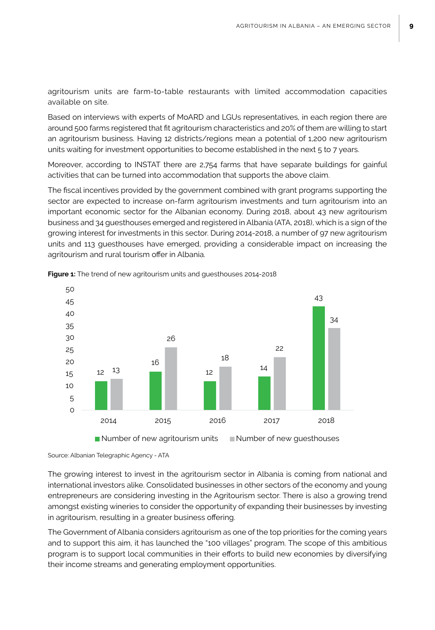agritourism units are farm-to-table restaurants with limited accommodation capacities available on site.

Based on interviews with experts of MoARD and LGUs representatives, in each region there are around 500 farms registered that fit agritourism characteristics and 20% of them are willing to start an agritourism business. Having 12 districts/regions mean a potential of 1,200 new agritourism units waiting for investment opportunities to become established in the next 5 to 7 years.

Moreover, according to INSTAT there are 2,754 farms that have separate buildings for gainful activities that can be turned into accommodation that supports the above claim.

The fiscal incentives provided by the government combined with grant programs supporting the sector are expected to increase on-farm agritourism investments and turn agritourism into an important economic sector for the Albanian economy. During 2018, about 43 new agritourism business and 34 guesthouses emerged and registered in Albania (ATA, 2018), which is a sign of the growing interest for investments in this sector. During 2014-2018, a number of 97 new agritourism units and 113 guesthouses have emerged, providing a considerable impact on increasing the agritourism and rural tourism offer in Albania.



**Figure 1:** The trend of new agritourism units and guesthouses 2014-2018

Source: Albanian Telegraphic Agency - ATA

The growing interest to invest in the agritourism sector in Albania is coming from national and international investors alike. Consolidated businesses in other sectors of the economy and young entrepreneurs are considering investing in the Agritourism sector. There is also a growing trend amongst existing wineries to consider the opportunity of expanding their businesses by investing in agritourism, resulting in a greater business offering.

The Government of Albania considers agritourism as one of the top priorities for the coming years and to support this aim, it has launched the "100 villages" program. The scope of this ambitious program is to support local communities in their efforts to build new economies by diversifying their income streams and generating employment opportunities.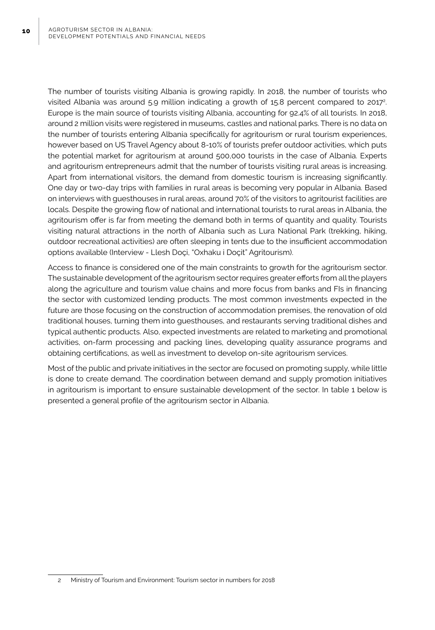The number of tourists visiting Albania is growing rapidly. In 2018, the number of tourists who visited Albania was around 5.9 million indicating a growth of 15.8 percent compared to 2017 $^{\circ}$ . Europe is the main source of tourists visiting Albania, accounting for 92.4% of all tourists. In 2018, around 2 million visits were registered in museums, castles and national parks. There is no data on the number of tourists entering Albania specifically for agritourism or rural tourism experiences, however based on US Travel Agency about 8-10% of tourists prefer outdoor activities, which puts the potential market for agritourism at around 500,000 tourists in the case of Albania. Experts and agritourism entrepreneurs admit that the number of tourists visiting rural areas is increasing. Apart from international visitors, the demand from domestic tourism is increasing significantly. One day or two-day trips with families in rural areas is becoming very popular in Albania. Based on interviews with guesthouses in rural areas, around 70% of the visitors to agritourist facilities are locals. Despite the growing flow of national and international tourists to rural areas in Albania, the agritourism offer is far from meeting the demand both in terms of quantity and quality. Tourists visiting natural attractions in the north of Albania such as Lura National Park (trekking, hiking, outdoor recreational activities) are often sleeping in tents due to the insufficient accommodation options available (Interview - Llesh Doçi, "Oxhaku i Doçit" Agritourism).

Access to finance is considered one of the main constraints to growth for the agritourism sector. The sustainable development of the agritourism sector requires greater efforts from all the players along the agriculture and tourism value chains and more focus from banks and FIs in financing the sector with customized lending products. The most common investments expected in the future are those focusing on the construction of accommodation premises, the renovation of old traditional houses, turning them into guesthouses, and restaurants serving traditional dishes and typical authentic products. Also, expected investments are related to marketing and promotional activities, on-farm processing and packing lines, developing quality assurance programs and obtaining certifications, as well as investment to develop on-site agritourism services.

Most of the public and private initiatives in the sector are focused on promoting supply, while little is done to create demand. The coordination between demand and supply promotion initiatives in agritourism is important to ensure sustainable development of the sector. In table 1 below is presented a general profile of the agritourism sector in Albania.

<sup>2</sup> Ministry of Tourism and Environment: Tourism sector in numbers for 2018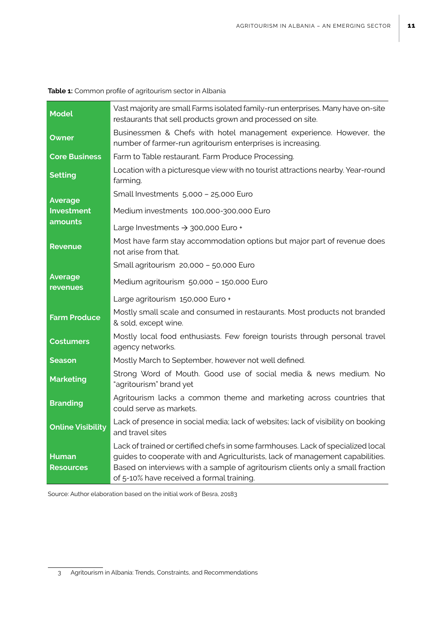| <b>Model</b>                     | Vast majority are small Farms isolated family-run enterprises. Many have on-site<br>restaurants that sell products grown and processed on site.                                                                                                                                                  |
|----------------------------------|--------------------------------------------------------------------------------------------------------------------------------------------------------------------------------------------------------------------------------------------------------------------------------------------------|
| Owner                            | Businessmen & Chefs with hotel management experience. However, the<br>number of farmer-run agritourism enterprises is increasing.                                                                                                                                                                |
| <b>Core Business</b>             | Farm to Table restaurant. Farm Produce Processing.                                                                                                                                                                                                                                               |
| <b>Setting</b>                   | Location with a picturesque view with no tourist attractions nearby. Year-round<br>farming.                                                                                                                                                                                                      |
| Average                          | Small Investments 5,000 - 25,000 Euro                                                                                                                                                                                                                                                            |
| <b>Investment</b>                | Medium investments 100,000-300,000 Euro                                                                                                                                                                                                                                                          |
| amounts                          | Large Investments → 300,000 Euro +                                                                                                                                                                                                                                                               |
| <b>Revenue</b>                   | Most have farm stay accommodation options but major part of revenue does<br>not arise from that.                                                                                                                                                                                                 |
|                                  | Small agritourism 20,000 - 50,000 Euro                                                                                                                                                                                                                                                           |
| Average<br>revenues              | Medium agritourism 50,000 - 150,000 Euro                                                                                                                                                                                                                                                         |
|                                  | Large agritourism 150,000 Euro +                                                                                                                                                                                                                                                                 |
| <b>Farm Produce</b>              | Mostly small scale and consumed in restaurants. Most products not branded<br>& sold, except wine.                                                                                                                                                                                                |
| <b>Costumers</b>                 | Mostly local food enthusiasts. Few foreign tourists through personal travel<br>agency networks.                                                                                                                                                                                                  |
| <b>Season</b>                    | Mostly March to September, however not well defined.                                                                                                                                                                                                                                             |
| <b>Marketing</b>                 | Strong Word of Mouth. Good use of social media & news medium. No<br>"agritourism" brand yet                                                                                                                                                                                                      |
| <b>Branding</b>                  | Agritourism lacks a common theme and marketing across countries that<br>could serve as markets.                                                                                                                                                                                                  |
| <b>Online Visibility</b>         | Lack of presence in social media; lack of websites; lack of visibility on booking<br>and travel sites                                                                                                                                                                                            |
| <b>Human</b><br><b>Resources</b> | Lack of trained or certified chefs in some farmhouses. Lack of specialized local<br>guides to cooperate with and Agriculturists, lack of management capabilities.<br>Based on interviews with a sample of agritourism clients only a small fraction<br>of 5-10% have received a formal training. |

Source: Author elaboration based on the initial work of Besra, 20183

<sup>3</sup> Agritourism in Albania: Trends, Constraints, and Recommendations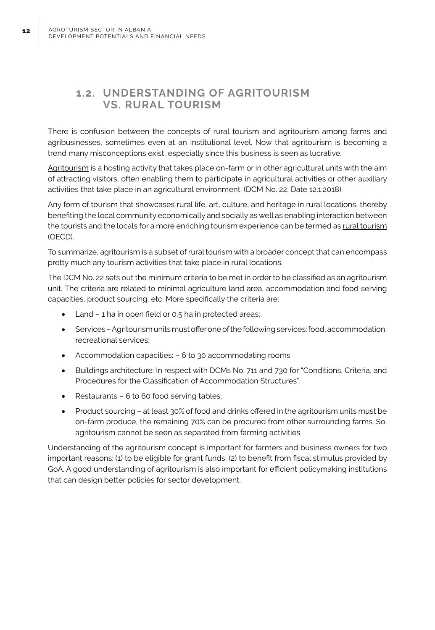### **1.2. UNDERSTANDING OF AGRITOURISM VS. RURAL TOURISM**

There is confusion between the concepts of rural tourism and agritourism among farms and agribusinesses, sometimes even at an institutional level. Now that agritourism is becoming a trend many misconceptions exist, especially since this business is seen as lucrative.

Agritourism is a hosting activity that takes place on-farm or in other agricultural units with the aim of attracting visitors, often enabling them to participate in agricultural activities or other auxiliary activities that take place in an agricultural environment. (DCM No. 22, Date 12.1.2018).

Any form of tourism that showcases rural life, art, culture, and heritage in rural locations, thereby benefiting the local community economically and socially as well as enabling interaction between the tourists and the locals for a more enriching tourism experience can be termed as rural tourism (OECD).

To summarize, agritourism is a subset of rural tourism with a broader concept that can encompass pretty much any tourism activities that take place in rural locations.

The DCM No. 22 sets out the minimum criteria to be met in order to be classified as an agritourism unit. The criteria are related to minimal agriculture land area, accommodation and food serving capacities, product sourcing, etc. More specifically the criteria are:

- Land  $-$  1 ha in open field or 0.5 ha in protected areas;
- Services Agritourism units must offer one of the following services: food, accommodation, recreational services;
- Accommodation capacities:  $-6$  to 30 accommodating rooms.
- Buildings architecture: In respect with DCMs No. 711 and 730 for "Conditions, Criteria, and Procedures for the Classification of Accommodation Structures".
- Restaurants  $6$  to  $60$  food serving tables;
- Product sourcing at least 30% of food and drinks offered in the agritourism units must be on-farm produce, the remaining 70% can be procured from other surrounding farms. So, agritourism cannot be seen as separated from farming activities.

Understanding of the agritourism concept is important for farmers and business owners for two important reasons: (1) to be eligible for grant funds; (2) to benefit from fiscal stimulus provided by GoA. A good understanding of agritourism is also important for efficient policymaking institutions that can design better policies for sector development.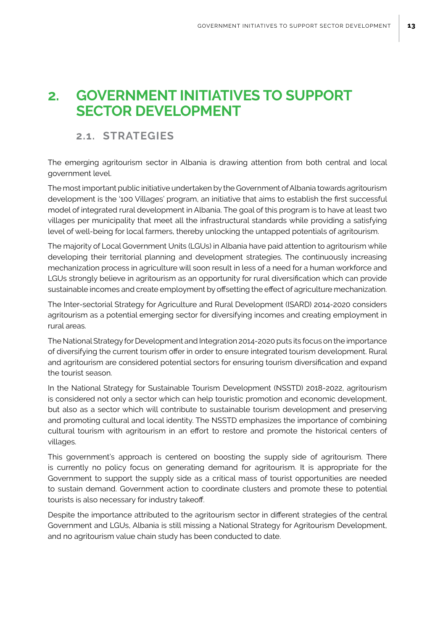# **2. GOVERNMENT INITIATIVES TO SUPPORT SECTOR DEVELOPMENT**

### **2.1. STRATEGIES**

The emerging agritourism sector in Albania is drawing attention from both central and local government level.

The most important public initiative undertaken by the Government of Albania towards agritourism development is the '100 Villages' program, an initiative that aims to establish the first successful model of integrated rural development in Albania. The goal of this program is to have at least two villages per municipality that meet all the infrastructural standards while providing a satisfying level of well-being for local farmers, thereby unlocking the untapped potentials of agritourism.

The majority of Local Government Units (LGUs) in Albania have paid attention to agritourism while developing their territorial planning and development strategies. The continuously increasing mechanization process in agriculture will soon result in less of a need for a human workforce and LGUs strongly believe in agritourism as an opportunity for rural diversification which can provide sustainable incomes and create employment by offsetting the effect of agriculture mechanization.

The Inter-sectorial Strategy for Agriculture and Rural Development (ISARD) 2014-2020 considers agritourism as a potential emerging sector for diversifying incomes and creating employment in rural areas.

The National Strategy for Development and Integration 2014-2020 puts its focus on the importance of diversifying the current tourism offer in order to ensure integrated tourism development. Rural and agritourism are considered potential sectors for ensuring tourism diversification and expand the tourist season.

In the National Strategy for Sustainable Tourism Development (NSSTD) 2018-2022, agritourism is considered not only a sector which can help touristic promotion and economic development, but also as a sector which will contribute to sustainable tourism development and preserving and promoting cultural and local identity. The NSSTD emphasizes the importance of combining cultural tourism with agritourism in an effort to restore and promote the historical centers of villages.

This government's approach is centered on boosting the supply side of agritourism. There is currently no policy focus on generating demand for agritourism. It is appropriate for the Government to support the supply side as a critical mass of tourist opportunities are needed to sustain demand. Government action to coordinate clusters and promote these to potential tourists is also necessary for industry takeoff.

Despite the importance attributed to the agritourism sector in different strategies of the central Government and LGUs, Albania is still missing a National Strategy for Agritourism Development, and no agritourism value chain study has been conducted to date.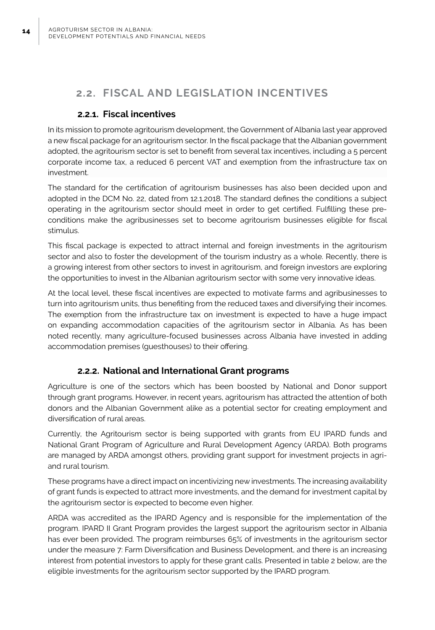**14**

### **2.2. FISCAL AND LEGISLATION INCENTIVES**

### **2.2.1. Fiscal incentives**

In its mission to promote agritourism development, the Government of Albania last year approved a new fiscal package for an agritourism sector. In the fiscal package that the Albanian government adopted, the agritourism sector is set to benefit from several tax incentives, including a 5 percent corporate income tax, a reduced 6 percent VAT and exemption from the infrastructure tax on investment.

The standard for the certification of agritourism businesses has also been decided upon and adopted in the DCM No. 22, dated from 12.1.2018. The standard defines the conditions a subject operating in the agritourism sector should meet in order to get certified. Fulfilling these preconditions make the agribusinesses set to become agritourism businesses eligible for fiscal stimulus.

This fiscal package is expected to attract internal and foreign investments in the agritourism sector and also to foster the development of the tourism industry as a whole. Recently, there is a growing interest from other sectors to invest in agritourism, and foreign investors are exploring the opportunities to invest in the Albanian agritourism sector with some very innovative ideas.

At the local level, these fiscal incentives are expected to motivate farms and agribusinesses to turn into agritourism units, thus benefiting from the reduced taxes and diversifying their incomes. The exemption from the infrastructure tax on investment is expected to have a huge impact on expanding accommodation capacities of the agritourism sector in Albania. As has been noted recently, many agriculture-focused businesses across Albania have invested in adding accommodation premises (guesthouses) to their offering.

### **2.2.2. National and International Grant programs**

Agriculture is one of the sectors which has been boosted by National and Donor support through grant programs. However, in recent years, agritourism has attracted the attention of both donors and the Albanian Government alike as a potential sector for creating employment and diversification of rural areas.

Currently, the Agritourism sector is being supported with grants from EU IPARD funds and National Grant Program of Agriculture and Rural Development Agency (ARDA). Both programs are managed by ARDA amongst others, providing grant support for investment projects in agriand rural tourism.

These programs have a direct impact on incentivizing new investments. The increasing availability of grant funds is expected to attract more investments, and the demand for investment capital by the agritourism sector is expected to become even higher.

ARDA was accredited as the IPARD Agency and is responsible for the implementation of the program. IPARD II Grant Program provides the largest support the agritourism sector in Albania has ever been provided. The program reimburses 65% of investments in the agritourism sector under the measure 7: Farm Diversification and Business Development, and there is an increasing interest from potential investors to apply for these grant calls. Presented in table 2 below, are the eligible investments for the agritourism sector supported by the IPARD program.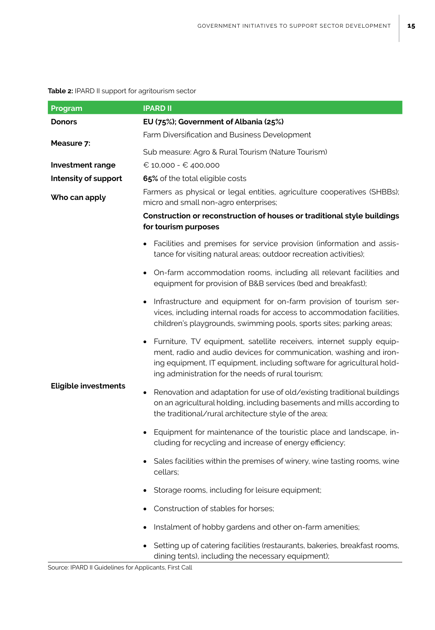#### **Table 2:** IPARD II support for agritourism sector

| Program                     | <b>IPARD II</b>                                                                                                                                                                                                                                                                         |  |  |  |  |  |  |
|-----------------------------|-----------------------------------------------------------------------------------------------------------------------------------------------------------------------------------------------------------------------------------------------------------------------------------------|--|--|--|--|--|--|
| <b>Donors</b>               | EU (75%); Government of Albania (25%)                                                                                                                                                                                                                                                   |  |  |  |  |  |  |
|                             | Farm Diversification and Business Development                                                                                                                                                                                                                                           |  |  |  |  |  |  |
| Measure 7:                  | Sub measure: Agro & Rural Tourism (Nature Tourism)                                                                                                                                                                                                                                      |  |  |  |  |  |  |
| <b>Investment range</b>     | € 10,000 - € 400,000                                                                                                                                                                                                                                                                    |  |  |  |  |  |  |
| Intensity of support        | 65% of the total eligible costs                                                                                                                                                                                                                                                         |  |  |  |  |  |  |
| Who can apply               | Farmers as physical or legal entities, agriculture cooperatives (SHBBs);<br>micro and small non-agro enterprises;                                                                                                                                                                       |  |  |  |  |  |  |
|                             | Construction or reconstruction of houses or traditional style buildings<br>for tourism purposes                                                                                                                                                                                         |  |  |  |  |  |  |
|                             | Facilities and premises for service provision (information and assis-<br>tance for visiting natural areas; outdoor recreation activities);                                                                                                                                              |  |  |  |  |  |  |
|                             | On-farm accommodation rooms, including all relevant facilities and<br>٠<br>equipment for provision of B&B services (bed and breakfast);                                                                                                                                                 |  |  |  |  |  |  |
|                             | Infrastructure and equipment for on-farm provision of tourism ser-<br>$\bullet$<br>vices, including internal roads for access to accommodation facilities,<br>children's playgrounds, swimming pools, sports sites; parking areas;                                                      |  |  |  |  |  |  |
|                             | Furniture, TV equipment, satellite receivers, internet supply equip-<br>$\bullet$<br>ment, radio and audio devices for communication, washing and iron-<br>ing equipment, IT equipment, including software for agricultural hold-<br>ing administration for the needs of rural tourism; |  |  |  |  |  |  |
| <b>Eligible investments</b> | Renovation and adaptation for use of old/existing traditional buildings<br>$\bullet$<br>on an agricultural holding, including basements and mills according to<br>the traditional/rural architecture style of the area;                                                                 |  |  |  |  |  |  |
|                             | Equipment for maintenance of the touristic place and landscape, in-<br>$\bullet$<br>cluding for recycling and increase of energy efficiency;                                                                                                                                            |  |  |  |  |  |  |
|                             | Sales facilities within the premises of winery, wine tasting rooms, wine<br>cellars;                                                                                                                                                                                                    |  |  |  |  |  |  |
|                             | Storage rooms, including for leisure equipment;                                                                                                                                                                                                                                         |  |  |  |  |  |  |
|                             | Construction of stables for horses;                                                                                                                                                                                                                                                     |  |  |  |  |  |  |
|                             | Instalment of hobby gardens and other on-farm amenities;                                                                                                                                                                                                                                |  |  |  |  |  |  |
|                             | Setting up of catering facilities (restaurants, bakeries, breakfast rooms,<br>dining tents), including the necessary equipment);                                                                                                                                                        |  |  |  |  |  |  |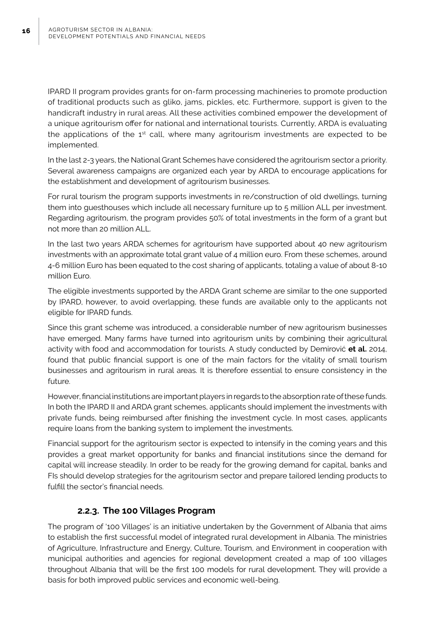IPARD II program provides grants for on-farm processing machineries to promote production of traditional products such as gliko, jams, pickles, etc. Furthermore, support is given to the handicraft industry in rural areas. All these activities combined empower the development of a unique agritourism offer for national and international tourists. Currently, ARDA is evaluating the applications of the 1<sup>st</sup> call, where many agritourism investments are expected to be implemented.

In the last 2-3 years, the National Grant Schemes have considered the agritourism sector a priority. Several awareness campaigns are organized each year by ARDA to encourage applications for the establishment and development of agritourism businesses.

For rural tourism the program supports investments in re/construction of old dwellings, turning them into guesthouses which include all necessary furniture up to 5 million ALL per investment. Regarding agritourism, the program provides 50% of total investments in the form of a grant but not more than 20 million ALL.

In the last two years ARDA schemes for agritourism have supported about 40 new agritourism investments with an approximate total grant value of 4 million euro. From these schemes, around 4-6 million Euro has been equated to the cost sharing of applicants, totaling a value of about 8-10 million Euro.

The eligible investments supported by the ARDA Grant scheme are similar to the one supported by IPARD, however, to avoid overlapping, these funds are available only to the applicants not eligible for IPARD funds.

Since this grant scheme was introduced, a considerable number of new agritourism businesses have emerged. Many farms have turned into agritourism units by combining their agricultural activity with food and accommodation for tourists. A study conducted by Demirović **et al.** 2014, found that public financial support is one of the main factors for the vitality of small tourism businesses and agritourism in rural areas. It is therefore essential to ensure consistency in the future.

However, financial institutions are important players in regards to the absorption rate of these funds. In both the IPARD II and ARDA grant schemes, applicants should implement the investments with private funds, being reimbursed after finishing the investment cycle. In most cases, applicants require loans from the banking system to implement the investments.

Financial support for the agritourism sector is expected to intensify in the coming years and this provides a great market opportunity for banks and financial institutions since the demand for capital will increase steadily. In order to be ready for the growing demand for capital, banks and FIs should develop strategies for the agritourism sector and prepare tailored lending products to fulfill the sector's financial needs.

### **2.2.3. The 100 Villages Program**

The program of '100 Villages' is an initiative undertaken by the Government of Albania that aims to establish the first successful model of integrated rural development in Albania. The ministries of Agriculture, Infrastructure and Energy, Culture, Tourism, and Environment in cooperation with municipal authorities and agencies for regional development created a map of 100 villages throughout Albania that will be the first 100 models for rural development. They will provide a basis for both improved public services and economic well-being.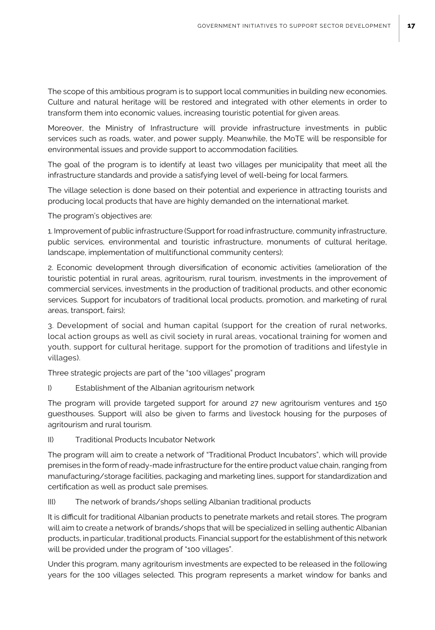The scope of this ambitious program is to support local communities in building new economies. Culture and natural heritage will be restored and integrated with other elements in order to transform them into economic values, increasing touristic potential for given areas.

Moreover, the Ministry of Infrastructure will provide infrastructure investments in public services such as roads, water, and power supply. Meanwhile, the MoTE will be responsible for environmental issues and provide support to accommodation facilities.

The goal of the program is to identify at least two villages per municipality that meet all the infrastructure standards and provide a satisfying level of well-being for local farmers.

The village selection is done based on their potential and experience in attracting tourists and producing local products that have are highly demanded on the international market.

The program's objectives are:

1. Improvement of public infrastructure (Support for road infrastructure, community infrastructure, public services, environmental and touristic infrastructure, monuments of cultural heritage, landscape, implementation of multifunctional community centers);

2. Economic development through diversification of economic activities (amelioration of the touristic potential in rural areas, agritourism, rural tourism, investments in the improvement of commercial services, investments in the production of traditional products, and other economic services. Support for incubators of traditional local products, promotion, and marketing of rural areas, transport, fairs);

3. Development of social and human capital (support for the creation of rural networks, local action groups as well as civil society in rural areas, vocational training for women and youth, support for cultural heritage, support for the promotion of traditions and lifestyle in villages).

Three strategic projects are part of the "100 villages" program

I) Establishment of the Albanian agritourism network

The program will provide targeted support for around 27 new agritourism ventures and 150 guesthouses. Support will also be given to farms and livestock housing for the purposes of agritourism and rural tourism.

II) Traditional Products Incubator Network

The program will aim to create a network of "Traditional Product Incubators", which will provide premises in the form of ready-made infrastructure for the entire product value chain, ranging from manufacturing/storage facilities, packaging and marketing lines, support for standardization and certification as well as product sale premises.

III) The network of brands/shops selling Albanian traditional products

It is difficult for traditional Albanian products to penetrate markets and retail stores. The program will aim to create a network of brands/shops that will be specialized in selling authentic Albanian products, in particular, traditional products. Financial support for the establishment of this network will be provided under the program of "100 villages".

Under this program, many agritourism investments are expected to be released in the following years for the 100 villages selected. This program represents a market window for banks and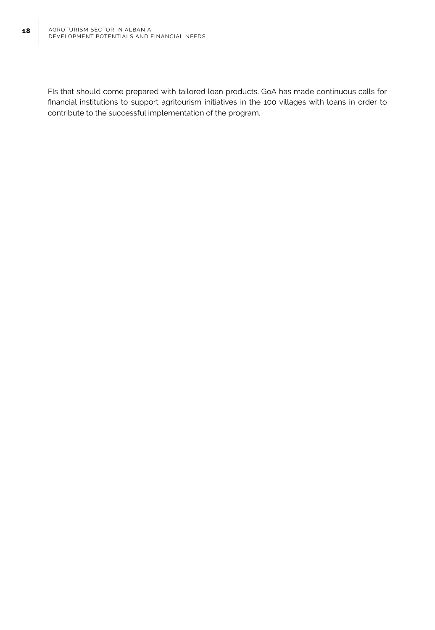FIs that should come prepared with tailored loan products. GoA has made continuous calls for financial institutions to support agritourism initiatives in the 100 villages with loans in order to contribute to the successful implementation of the program.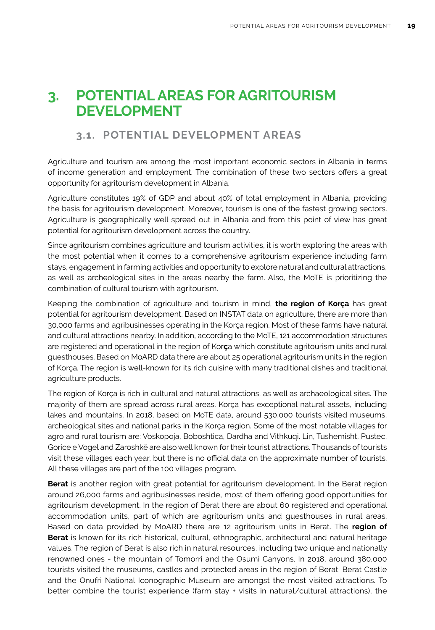# **3. POTENTIAL AREAS FOR AGRITOURISM DEVELOPMENT**

### **3.1. POTENTIAL DEVELOPMENT AREAS**

Agriculture and tourism are among the most important economic sectors in Albania in terms of income generation and employment. The combination of these two sectors offers a great opportunity for agritourism development in Albania.

Agriculture constitutes 19% of GDP and about 40% of total employment in Albania, providing the basis for agritourism development. Moreover, tourism is one of the fastest growing sectors. Agriculture is geographically well spread out in Albania and from this point of view has great potential for agritourism development across the country.

Since agritourism combines agriculture and tourism activities, it is worth exploring the areas with the most potential when it comes to a comprehensive agritourism experience including farm stays, engagement in farming activities and opportunity to explore natural and cultural attractions, as well as archeological sites in the areas nearby the farm. Also, the MoTE is prioritizing the combination of cultural tourism with agritourism.

Keeping the combination of agriculture and tourism in mind, **the region of Korça** has great potential for agritourism development. Based on INSTAT data on agriculture, there are more than 30,000 farms and agribusinesses operating in the Korça region. Most of these farms have natural and cultural attractions nearby. In addition, according to the MoTE, 121 accommodation structures are registered and operational in the region of Kor**ç**a which constitute agritourism units and rural guesthouses. Based on MoARD data there are about 25 operational agritourism units in the region of Korça. The region is well-known for its rich cuisine with many traditional dishes and traditional agriculture products.

The region of Korça is rich in cultural and natural attractions, as well as archaeological sites. The majority of them are spread across rural areas. Korça has exceptional natural assets, including lakes and mountains. In 2018, based on MoTE data, around 530,000 tourists visited museums, archeological sites and national parks in the Korça region. Some of the most notable villages for agro and rural tourism are: Voskopoja, Boboshtica, Dardha and Vithkuqi. Lin, Tushemisht, Pustec, Gorice e Vogel and Zaroshkë are also well known for their tourist attractions. Thousands of tourists visit these villages each year, but there is no official data on the approximate number of tourists. All these villages are part of the 100 villages program.

**Berat** is another region with great potential for agritourism development. In the Berat region around 26,000 farms and agribusinesses reside, most of them offering good opportunities for agritourism development. In the region of Berat there are about 60 registered and operational accommodation units, part of which are agritourism units and guesthouses in rural areas. Based on data provided by MoARD there are 12 agritourism units in Berat. The **region of Berat** is known for its rich historical, cultural, ethnographic, architectural and natural heritage values. The region of Berat is also rich in natural resources, including two unique and nationally renowned ones - the mountain of Tomorri and the Osumi Canyons. In 2018, around 380,000 tourists visited the museums, castles and protected areas in the region of Berat. Berat Castle and the Onufri National Iconographic Museum are amongst the most visited attractions. To better combine the tourist experience (farm stay + visits in natural/cultural attractions), the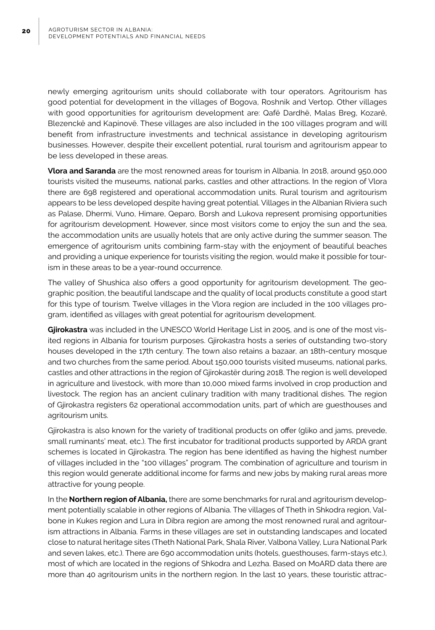newly emerging agritourism units should collaborate with tour operators. Agritourism has good potential for development in the villages of Bogova, Roshnik and Vertop. Other villages with good opportunities for agritourism development are: Qafë Dardhë, Malas Breg, Kozarë, Blezenckë and Kapinovë. These villages are also included in the 100 villages program and will benefit from infrastructure investments and technical assistance in developing agritourism businesses. However, despite their excellent potential, rural tourism and agritourism appear to be less developed in these areas.

**Vlora and Saranda** are the most renowned areas for tourism in Albania. In 2018, around 950,000 tourists visited the museums, national parks, castles and other attractions. In the region of Vlora there are 698 registered and operational accommodation units. Rural tourism and agritourism appears to be less developed despite having great potential. Villages in the Albanian Riviera such as Palase, Dhermi, Vuno, Himare, Qeparo, Borsh and Lukova represent promising opportunities for agritourism development. However, since most visitors come to enjoy the sun and the sea, the accommodation units are usually hotels that are only active during the summer season. The emergence of agritourism units combining farm-stay with the enjoyment of beautiful beaches and providing a unique experience for tourists visiting the region, would make it possible for tourism in these areas to be a year-round occurrence.

The valley of Shushica also offers a good opportunity for agritourism development. The geographic position, the beautiful landscape and the quality of local products constitute a good start for this type of tourism. Twelve villages in the Vlora region are included in the 100 villages program, identified as villages with great potential for agritourism development.

**Gjirokastra** was included in the UNESCO World Heritage List in 2005, and is one of the most visited regions in Albania for tourism purposes. Gjirokastra hosts a series of outstanding two-story houses developed in the 17th century. The town also retains a bazaar, an 18th-century mosque and two churches from the same period. About 150,000 tourists visited museums, national parks, castles and other attractions in the region of Gjirokastër during 2018. The region is well developed in agriculture and livestock, with more than 10,000 mixed farms involved in crop production and livestock. The region has an ancient culinary tradition with many traditional dishes. The region of Gjirokastra registers 62 operational accommodation units, part of which are guesthouses and agritourism units.

Gjirokastra is also known for the variety of traditional products on offer (gliko and jams, prevede, small ruminants' meat, etc.). The first incubator for traditional products supported by ARDA grant schemes is located in Gjirokastra. The region has bene identified as having the highest number of villages included in the "100 villages" program. The combination of agriculture and tourism in this region would generate additional income for farms and new jobs by making rural areas more attractive for young people.

In the **Northern region of Albania,** there are some benchmarks for rural and agritourism development potentially scalable in other regions of Albania. The villages of Theth in Shkodra region, Valbone in Kukes region and Lura in Dibra region are among the most renowned rural and agritourism attractions in Albania. Farms in these villages are set in outstanding landscapes and located close to natural heritage sites (Theth National Park, Shala River, Valbona Valley, Lura National Park and seven lakes, etc.). There are 690 accommodation units (hotels, guesthouses, farm-stays etc.), most of which are located in the regions of Shkodra and Lezha. Based on MoARD data there are more than 40 agritourism units in the northern region. In the last 10 years, these touristic attrac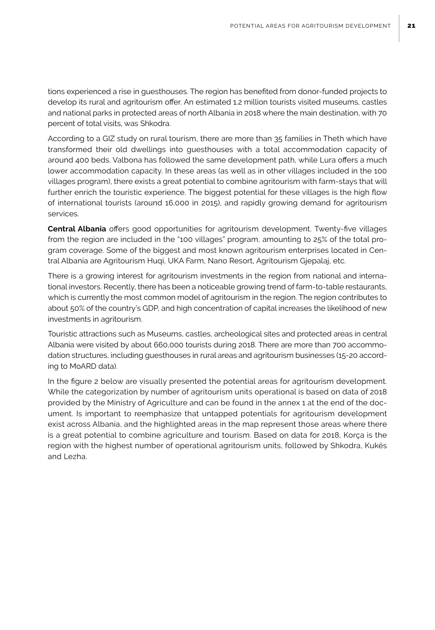tions experienced a rise in guesthouses. The region has benefited from donor-funded projects to develop its rural and agritourism offer. An estimated 1.2 million tourists visited museums, castles and national parks in protected areas of north Albania in 2018 where the main destination, with 70 percent of total visits, was Shkodra.

According to a GIZ study on rural tourism, there are more than 35 families in Theth which have transformed their old dwellings into guesthouses with a total accommodation capacity of around 400 beds. Valbona has followed the same development path, while Lura offers a much lower accommodation capacity. In these areas (as well as in other villages included in the 100 villages program), there exists a great potential to combine agritourism with farm-stays that will further enrich the touristic experience. The biggest potential for these villages is the high flow of international tourists (around 16,000 in 2015), and rapidly growing demand for agritourism services.

**Central Albania** offers good opportunities for agritourism development. Twenty-five villages from the region are included in the "100 villages" program, amounting to 25% of the total program coverage. Some of the biggest and most known agritourism enterprises located in Central Albania are Agritourism Huqi, UKA Farm, Nano Resort, Agritourism Gjepalaj, etc.

There is a growing interest for agritourism investments in the region from national and international investors. Recently, there has been a noticeable growing trend of farm-to-table restaurants, which is currently the most common model of agritourism in the region. The region contributes to about 50% of the country's GDP, and high concentration of capital increases the likelihood of new investments in agritourism.

Touristic attractions such as Museums, castles, archeological sites and protected areas in central Albania were visited by about 660,000 tourists during 2018. There are more than 700 accommodation structures, including guesthouses in rural areas and agritourism businesses (15-20 according to MoARD data).

In the figure 2 below are visually presented the potential areas for agritourism development. While the categorization by number of agritourism units operational is based on data of 2018 provided by the Ministry of Agriculture and can be found in the annex 1 at the end of the document. Is important to reemphasize that untapped potentials for agritourism development exist across Albania, and the highlighted areas in the map represent those areas where there is a great potential to combine agriculture and tourism. Based on data for 2018, Korça is the region with the highest number of operational agritourism units, followed by Shkodra, Kukës and Lezha.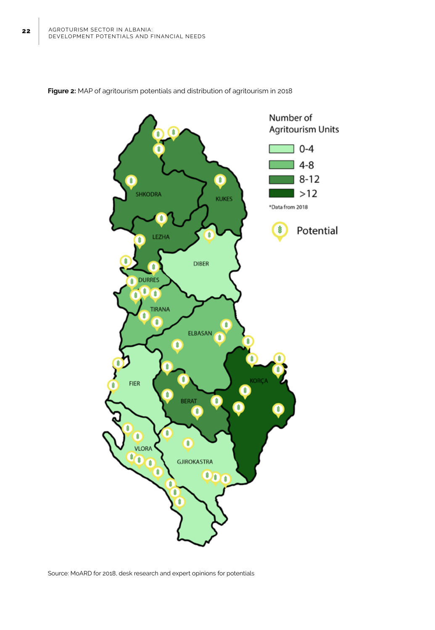

**Figure 2:** MAP of agritourism potentials and distribution of agritourism in 2018

Source: MoARD for 2018, desk research and expert opinions for potentials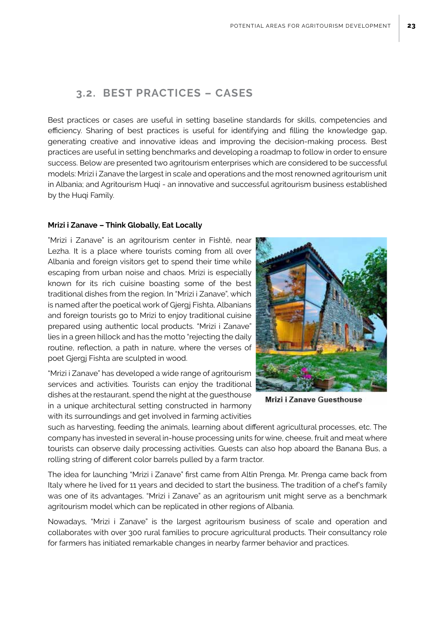### **3.2. BEST PRACTICES – CASES**

Best practices or cases are useful in setting baseline standards for skills, competencies and efficiency. Sharing of best practices is useful for identifying and filling the knowledge gap, generating creative and innovative ideas and improving the decision-making process. Best practices are useful in setting benchmarks and developing a roadmap to follow in order to ensure success. Below are presented two agritourism enterprises which are considered to be successful models: Mrizi i Zanave the largest in scale and operations and the most renowned agritourism unit in Albania; and Agritourism Huqi - an innovative and successful agritourism business established by the Huqi Family.

#### **Mrizi i Zanave – Think Globally, Eat Locally**

"Mrizi i Zanave" is an agritourism center in Fishtë, near Lezha. It is a place where tourists coming from all over Albania and foreign visitors get to spend their time while escaping from urban noise and chaos. Mrizi is especially known for its rich cuisine boasting some of the best traditional dishes from the region. In "Mrizi i Zanave", which is named after the poetical work of Gjergj Fishta, Albanians and foreign tourists go to Mrizi to enjoy traditional cuisine prepared using authentic local products. "Mrizi i Zanave" lies in a green hillock and has the motto "rejecting the daily routine, reflection, a path in nature, where the verses of poet Gjergj Fishta are sculpted in wood.

"Mrizi i Zanave" has developed a wide range of agritourism services and activities. Tourists can enjoy the traditional dishes at the restaurant, spend the night at the guesthouse in a unique architectural setting constructed in harmony with its surroundings and get involved in farming activities

Mrizi i Zanave Guesthouse

such as harvesting, feeding the animals, learning about different agricultural processes, etc. The company has invested in several in-house processing units for wine, cheese, fruit and meat where tourists can observe daily processing activities. Guests can also hop aboard the Banana Bus, a rolling string of different color barrels pulled by a farm tractor.

The idea for launching "Mrizi i Zanave" first came from Altin Prenga. Mr. Prenga came back from Italy where he lived for 11 years and decided to start the business. The tradition of a chef's family was one of its advantages. "Mrizi i Zanave" as an agritourism unit might serve as a benchmark agritourism model which can be replicated in other regions of Albania.

Nowadays, "Mrizi i Zanave" is the largest agritourism business of scale and operation and collaborates with over 300 rural families to procure agricultural products. Their consultancy role for farmers has initiated remarkable changes in nearby farmer behavior and practices.

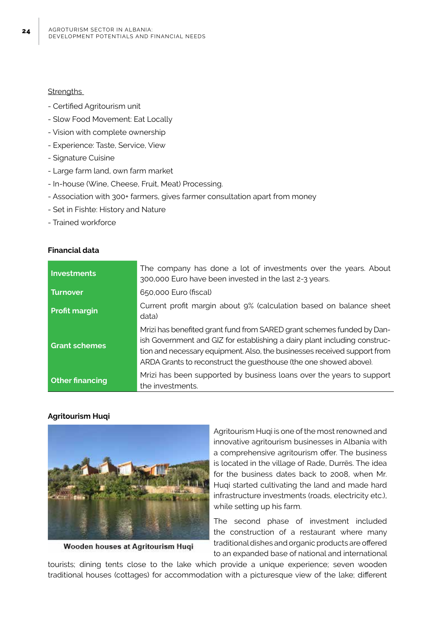#### **Strengths**

- Certified Agritourism unit
- Slow Food Movement: Eat Locally
- Vision with complete ownership
- Experience: Taste, Service, View
- Signature Cuisine
- Large farm land, own farm market
- In-house (Wine, Cheese, Fruit, Meat) Processing.
- Association with 300+ farmers, gives farmer consultation apart from money
- Set in Fishte: History and Nature
- Trained workforce

#### **Financial data**

| Investments            | The company has done a lot of investments over the years. About<br>300,000 Euro have been invested in the last 2-3 years.                                                                                                                                                                            |  |  |
|------------------------|------------------------------------------------------------------------------------------------------------------------------------------------------------------------------------------------------------------------------------------------------------------------------------------------------|--|--|
| <b>Turnover</b>        | 650,000 Euro (fiscal)                                                                                                                                                                                                                                                                                |  |  |
| <b>Profit margin</b>   | Current profit margin about 9% (calculation based on balance sheet<br>data)                                                                                                                                                                                                                          |  |  |
| <b>Grant schemes</b>   | Mrizi has benefited grant fund from SARED grant schemes funded by Dan-<br>ish Government and GIZ for establishing a dairy plant including construc-<br>tion and necessary equipment. Also, the businesses received support from<br>ARDA Grants to reconstruct the guesthouse (the one showed above). |  |  |
| <b>Other financing</b> | Mrizi has been supported by business loans over the years to support<br>the investments.                                                                                                                                                                                                             |  |  |

#### **Agritourism Huqi**



Wooden houses at Agritourism Huqi

Agritourism Huqi is one of the most renowned and innovative agritourism businesses in Albania with a comprehensive agritourism offer. The business is located in the village of Rade, Durrës. The idea for the business dates back to 2008, when Mr. Huqi started cultivating the land and made hard infrastructure investments (roads, electricity etc.), while setting up his farm.

The second phase of investment included the construction of a restaurant where many traditional dishes and organic products are offered to an expanded base of national and international

tourists; dining tents close to the lake which provide a unique experience; seven wooden traditional houses (cottages) for accommodation with a picturesque view of the lake; different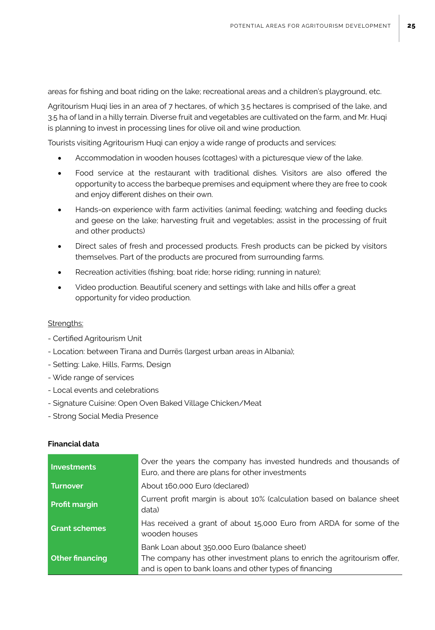areas for fishing and boat riding on the lake; recreational areas and a children's playground, etc.

Agritourism Huqi lies in an area of 7 hectares, of which 3.5 hectares is comprised of the lake, and 3.5 ha of land in a hilly terrain. Diverse fruit and vegetables are cultivated on the farm, and Mr. Huqi is planning to invest in processing lines for olive oil and wine production.

Tourists visiting Agritourism Huqi can enjoy a wide range of products and services:

- Accommodation in wooden houses (cottages) with a picturesque view of the lake.
- Food service at the restaurant with traditional dishes. Visitors are also offered the opportunity to access the barbeque premises and equipment where they are free to cook and enjoy different dishes on their own.
- Hands-on experience with farm activities (animal feeding; watching and feeding ducks and geese on the lake; harvesting fruit and vegetables; assist in the processing of fruit and other products)
- Direct sales of fresh and processed products. Fresh products can be picked by visitors themselves. Part of the products are procured from surrounding farms.
- Recreation activities (fishing; boat ride; horse riding; running in nature);
- Video production. Beautiful scenery and settings with lake and hills offer a great opportunity for video production.

#### Strenaths:

- Certified Agritourism Unit
- Location: between Tirana and Durrës (largest urban areas in Albania);
- Setting: Lake, Hills, Farms, Design
- Wide range of services
- Local events and celebrations
- Signature Cuisine: Open Oven Baked Village Chicken/Meat
- Strong Social Media Presence

#### **Financial data**

| Investments            | Over the years the company has invested hundreds and thousands of<br>Euro, and there are plans for other investments                                                              |
|------------------------|-----------------------------------------------------------------------------------------------------------------------------------------------------------------------------------|
| <b>Turnover</b>        | About 160,000 Euro (declared)                                                                                                                                                     |
| <b>Profit margin</b>   | Current profit margin is about 10% (calculation based on balance sheet<br>data)                                                                                                   |
| <b>Grant schemes</b>   | Has received a grant of about 15,000 Euro from ARDA for some of the<br>wooden houses                                                                                              |
| <b>Other financing</b> | Bank Loan about 350,000 Euro (balance sheet)<br>The company has other investment plans to enrich the agritourism offer,<br>and is open to bank loans and other types of financing |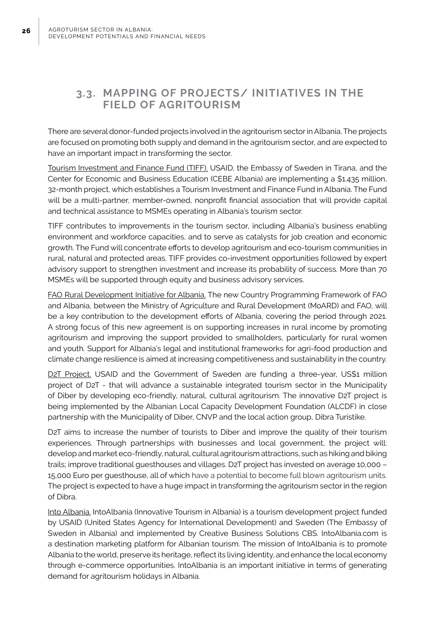### **3.3. MAPPING OF PROJECTS/ INITIATIVES IN THE FIELD OF AGRITOURISM**

There are several donor-funded projects involved in the agritourism sector in Albania. The projects are focused on promoting both supply and demand in the agritourism sector, and are expected to have an important impact in transforming the sector.

Tourism Investment and Finance Fund (TIFF). USAID, the Embassy of Sweden in Tirana, and the Center for Economic and Business Education (CEBE Albania) are implementing a \$1.435 million, 32-month project, which establishes a Tourism Investment and Finance Fund in Albania. The Fund will be a multi-partner, member-owned, nonprofit financial association that will provide capital and technical assistance to MSMEs operating in Albania's tourism sector.

TIFF contributes to improvements in the tourism sector, including Albania's business enabling environment and workforce capacities, and to serve as catalysts for job creation and economic growth. The Fund will concentrate efforts to develop agritourism and eco-tourism communities in rural, natural and protected areas. TIFF provides co-investment opportunities followed by expert advisory support to strengthen investment and increase its probability of success. More than 70 MSMEs will be supported through equity and business advisory services.

FAO Rural Development Initiative for Albania. The new Country Programming Framework of FAO and Albania, between the Ministry of Agriculture and Rural Development (MoARD) and FAO, will be a key contribution to the development efforts of Albania, covering the period through 2021. A strong focus of this new agreement is on supporting increases in rural income by promoting agritourism and improving the support provided to smallholders, particularly for rural women and youth. Support for Albania's legal and institutional frameworks for agri-food production and climate change resilience is aimed at increasing competitiveness and sustainability in the country.

D2T Project. USAID and the Government of Sweden are funding a three-year, US\$1 million project of D2T - that will advance a sustainable integrated tourism sector in the Municipality of Diber by developing eco-friendly, natural, cultural agritourism. The innovative D2T project is being implemented by the Albanian Local Capacity Development Foundation (ALCDF) in close partnership with the Municipality of Diber, CNVP and the local action group, Dibra Turistike.

D2T aims to increase the number of tourists to Diber and improve the quality of their tourism experiences. Through partnerships with businesses and local government, the project will: develop and market eco-friendly, natural, cultural agritourism attractions, such as hiking and biking trails; improve traditional guesthouses and villages. D2T project has invested on average 10,000 – 15,000 Euro per guesthouse, all of which have a potential to become full blown agritourism units. The project is expected to have a huge impact in transforming the agritourism sector in the region of Dibra.

Into Albania. IntoAlbania (Innovative Tourism in Albania) is a tourism development project funded by USAID (United States Agency for International Development) and Sweden (The Embassy of Sweden in Albania) and implemented by Creative Business Solutions CBS. IntoAlbania.com is a destination marketing platform for Albanian tourism. The mission of IntoAlbania is to promote Albania to the world, preserve its heritage, reflect its living identity, and enhance the local economy through e-commerce opportunities. IntoAlbania is an important initiative in terms of generating demand for agritourism holidays in Albania.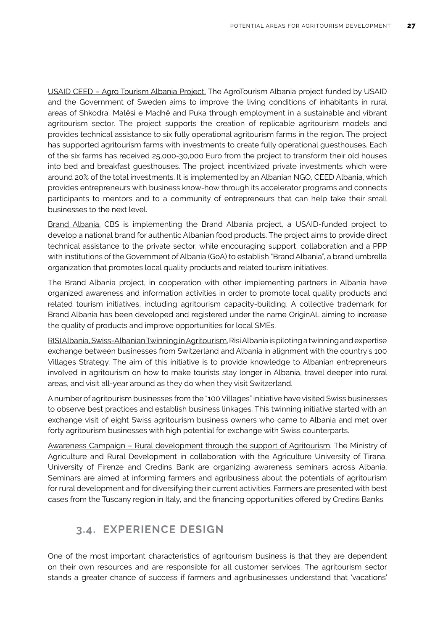USAID CEED – Agro Tourism Albania Project. The AgroTourism Albania project funded by USAID and the Government of Sweden aims to improve the living conditions of inhabitants in rural areas of Shkodra, Malësi e Madhë and Puka through employment in a sustainable and vibrant agritourism sector. The project supports the creation of replicable agritourism models and provides technical assistance to six fully operational agritourism farms in the region. The project has supported agritourism farms with investments to create fully operational guesthouses. Each of the six farms has received 25,000-30,000 Euro from the project to transform their old houses into bed and breakfast guesthouses. The project incentivized private investments which were around 20% of the total investments. It is implemented by an Albanian NGO, CEED Albania, which provides entrepreneurs with business know-how through its accelerator programs and connects participants to mentors and to a community of entrepreneurs that can help take their small businesses to the next level.

Brand Albania. CBS is implementing the Brand Albania project, a USAID-funded project to develop a national brand for authentic Albanian food products. The project aims to provide direct technical assistance to the private sector, while encouraging support, collaboration and a PPP with institutions of the Government of Albania (GoA) to establish "Brand Albania", a brand umbrella organization that promotes local quality products and related tourism initiatives.

The Brand Albania project, in cooperation with other implementing partners in Albania have organized awareness and information activities in order to promote local quality products and related tourism initiatives, including agritourism capacity-building. A collective trademark for Brand Albania has been developed and registered under the name OriginAL aiming to increase the quality of products and improve opportunities for local SMEs.

RISI Albania, Swiss-Albanian Twinning in Agritourism. Risi Albania is piloting a twinning and expertise exchange between businesses from Switzerland and Albania in alignment with the country's 100 Villages Strategy. The aim of this initiative is to provide knowledge to Albanian entrepreneurs involved in agritourism on how to make tourists stay longer in Albania, travel deeper into rural areas, and visit all-year around as they do when they visit Switzerland.

A number of agritourism businesses from the "100 Villages" initiative have visited Swiss businesses to observe best practices and establish business linkages. This twinning initiative started with an exchange visit of eight Swiss agritourism business owners who came to Albania and met over forty agritourism businesses with high potential for exchange with Swiss counterparts.

Awareness Campaign – Rural development through the support of Agritourism. The Ministry of Agriculture and Rural Development in collaboration with the Agriculture University of Tirana, University of Firenze and Credins Bank are organizing awareness seminars across Albania. Seminars are aimed at informing farmers and agribusiness about the potentials of agritourism for rural development and for diversifying their current activities. Farmers are presented with best cases from the Tuscany region in Italy, and the financing opportunities offered by Credins Banks.

### **3.4. EXPERIENCE DESIGN**

One of the most important characteristics of agritourism business is that they are dependent on their own resources and are responsible for all customer services. The agritourism sector stands a greater chance of success if farmers and agribusinesses understand that 'vacations'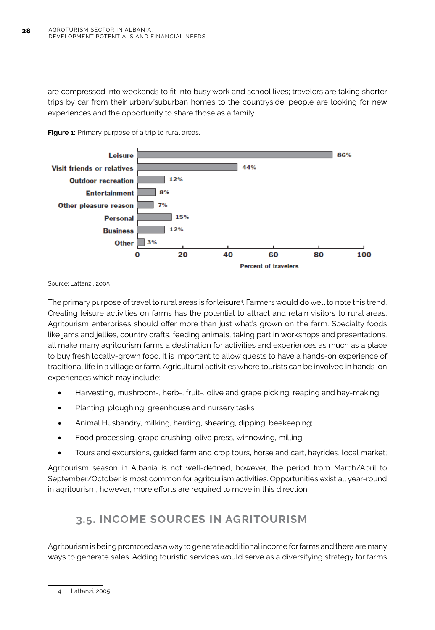are compressed into weekends to fit into busy work and school lives; travelers are taking shorter trips by car from their urban/suburban homes to the countryside; people are looking for new experiences and the opportunity to share those as a family.



**Figure 1:** Primary purpose of a trip to rural areas.

Source: Lattanzi, 2005

The primary purpose of travel to rural areas is for leisure4 . Farmers would do well to note this trend. Creating leisure activities on farms has the potential to attract and retain visitors to rural areas. Agritourism enterprises should offer more than just what's grown on the farm. Specialty foods like jams and jellies, country crafts, feeding animals, taking part in workshops and presentations, all make many agritourism farms a destination for activities and experiences as much as a place to buy fresh locally-grown food. It is important to allow guests to have a hands-on experience of traditional life in a village or farm. Agricultural activities where tourists can be involved in hands-on experiences which may include:

- Harvesting, mushroom-, herb-, fruit-, olive and grape picking, reaping and hay-making;
- Planting, ploughing, greenhouse and nursery tasks
- Animal Husbandry, milking, herding, shearing, dipping, beekeeping;
- Food processing, grape crushing, olive press, winnowing, milling;
- Tours and excursions, guided farm and crop tours, horse and cart, hayrides, local market;

Agritourism season in Albania is not well-defined, however, the period from March/April to September/October is most common for agritourism activities. Opportunities exist all year-round in agritourism, however, more efforts are required to move in this direction.

### **3.5. INCOME SOURCES IN AGRITOURISM**

Agritourism is being promoted as a way to generate additional income for farms and there are many ways to generate sales. Adding touristic services would serve as a diversifying strategy for farms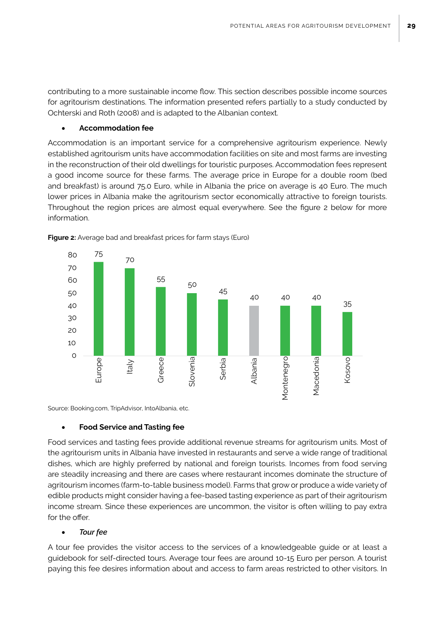contributing to a more sustainable income flow. This section describes possible income sources for agritourism destinations. The information presented refers partially to a study conducted by Ochterski and Roth (2008) and is adapted to the Albanian context.

#### **Accommodation fee**

Accommodation is an important service for a comprehensive agritourism experience. Newly established agritourism units have accommodation facilities on site and most farms are investing in the reconstruction of their old dwellings for touristic purposes. Accommodation fees represent a good income source for these farms. The average price in Europe for a double room (bed and breakfast) is around 75.0 Euro, while in Albania the price on average is 40 Euro. The much lower prices in Albania make the agritourism sector economically attractive to foreign tourists. Throughout the region prices are almost equal everywhere. See the figure 2 below for more information.



**Figure 2:** Average bad and breakfast prices for farm stays (Euro)

Source: Booking.com, TripAdvisor, IntoAlbania, etc.

#### **Food Service and Tasting fee**

Food services and tasting fees provide additional revenue streams for agritourism units. Most of the agritourism units in Albania have invested in restaurants and serve a wide range of traditional dishes, which are highly preferred by national and foreign tourists. Incomes from food serving are steadily increasing and there are cases where restaurant incomes dominate the structure of agritourism incomes (farm-to-table business model). Farms that grow or produce a wide variety of edible products might consider having a fee-based tasting experience as part of their agritourism income stream. Since these experiences are uncommon, the visitor is often willing to pay extra for the offer.

#### **Tour fee**

A tour fee provides the visitor access to the services of a knowledgeable guide or at least a guidebook for self-directed tours. Average tour fees are around 10-15 Euro per person. A tourist paying this fee desires information about and access to farm areas restricted to other visitors. In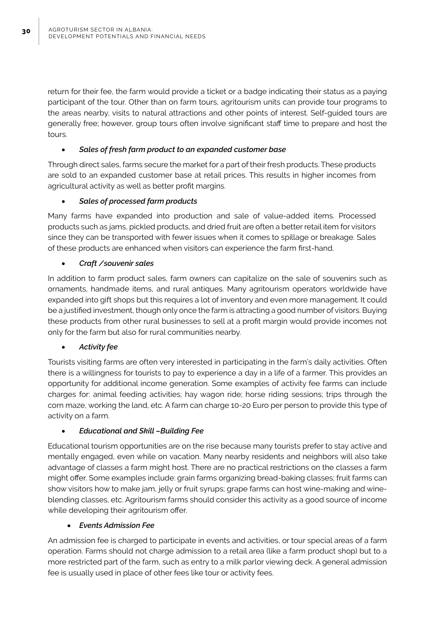return for their fee, the farm would provide a ticket or a badge indicating their status as a paying participant of the tour. Other than on farm tours, agritourism units can provide tour programs to the areas nearby, visits to natural attractions and other points of interest. Self-guided tours are generally free; however, group tours often involve significant staff time to prepare and host the tours.

#### Sales of fresh farm product to an expanded customer base

Through direct sales, farms secure the market for a part of their fresh products. These products are sold to an expanded customer base at retail prices. This results in higher incomes from agricultural activity as well as better profit margins.

#### **Sales of processed farm products**

Many farms have expanded into production and sale of value-added items. Processed products such as jams, pickled products, and dried fruit are often a better retail item for visitors since they can be transported with fewer issues when it comes to spillage or breakage. Sales of these products are enhanced when visitors can experience the farm first-hand.

#### • *Craft /souvenir sales*

In addition to farm product sales, farm owners can capitalize on the sale of souvenirs such as ornaments, handmade items, and rural antiques. Many agritourism operators worldwide have expanded into gift shops but this requires a lot of inventory and even more management. It could be a justified investment, though only once the farm is attracting a good number of visitors. Buying these products from other rural businesses to sell at a profit margin would provide incomes not only for the farm but also for rural communities nearby.

#### **Activity fee**

Tourists visiting farms are often very interested in participating in the farm's daily activities. Often there is a willingness for tourists to pay to experience a day in a life of a farmer. This provides an opportunity for additional income generation. Some examples of activity fee farms can include charges for: animal feeding activities; hay wagon ride; horse riding sessions; trips through the corn maze, working the land, etc. A farm can charge 10-20 Euro per person to provide this type of activity on a farm.

### **Educational and Skill -Building Fee**

Educational tourism opportunities are on the rise because many tourists prefer to stay active and mentally engaged, even while on vacation. Many nearby residents and neighbors will also take advantage of classes a farm might host. There are no practical restrictions on the classes a farm might offer. Some examples include: grain farms organizing bread-baking classes; fruit farms can show visitors how to make jam, jelly or fruit syrups; grape farms can host wine-making and wineblending classes, etc. Agritourism farms should consider this activity as a good source of income while developing their agritourism offer.

#### **Events Admission Fee**

An admission fee is charged to participate in events and activities, or tour special areas of a farm operation. Farms should not charge admission to a retail area (like a farm product shop) but to a more restricted part of the farm, such as entry to a milk parlor viewing deck. A general admission fee is usually used in place of other fees like tour or activity fees.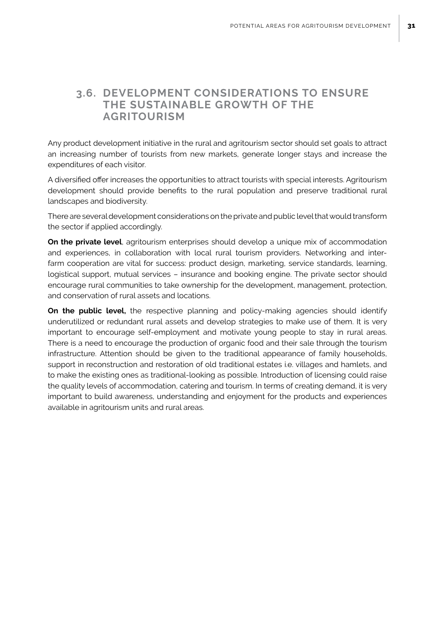### **3.6. DEVELOPMENT CONSIDERATIONS TO ENSURE THE SUSTAINABLE GROWTH OF THE AGRITOURISM**

Any product development initiative in the rural and agritourism sector should set goals to attract an increasing number of tourists from new markets, generate longer stays and increase the expenditures of each visitor.

A diversified offer increases the opportunities to attract tourists with special interests. Agritourism development should provide benefits to the rural population and preserve traditional rural landscapes and biodiversity.

There are several development considerations on the private and public level that would transform the sector if applied accordingly.

**On the private level**, agritourism enterprises should develop a unique mix of accommodation and experiences, in collaboration with local rural tourism providers. Networking and interfarm cooperation are vital for success: product design, marketing, service standards, learning, logistical support, mutual services – insurance and booking engine. The private sector should encourage rural communities to take ownership for the development, management, protection, and conservation of rural assets and locations.

**On the public level,** the respective planning and policy-making agencies should identify underutilized or redundant rural assets and develop strategies to make use of them. It is very important to encourage self-employment and motivate young people to stay in rural areas. There is a need to encourage the production of organic food and their sale through the tourism infrastructure. Attention should be given to the traditional appearance of family households, support in reconstruction and restoration of old traditional estates i.e. villages and hamlets, and to make the existing ones as traditional-looking as possible. Introduction of licensing could raise the quality levels of accommodation, catering and tourism. In terms of creating demand, it is very important to build awareness, understanding and enjoyment for the products and experiences available in agritourism units and rural areas.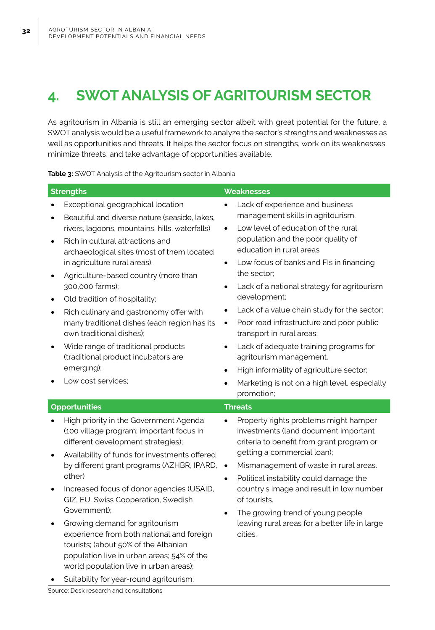# **4. SWOT ANALYSIS OF AGRITOURISM SECTOR**

As agritourism in Albania is still an emerging sector albeit with great potential for the future, a SWOT analysis would be a useful framework to analyze the sector's strengths and weaknesses as well as opportunities and threats. It helps the sector focus on strengths, work on its weaknesses, minimize threats, and take advantage of opportunities available.

**Table 3:** SWOT Analysis of the Agritourism sector in Albania

| <b>Strengths</b>                                                                                                                                                                                                                                                                                                                                                                                                                                                                                                                                                                                                                                                 | <b>Weaknesses</b>                                                                                                                                                                                                                                                                                                                                                                                                                                                                                                                                                                                                                                  |
|------------------------------------------------------------------------------------------------------------------------------------------------------------------------------------------------------------------------------------------------------------------------------------------------------------------------------------------------------------------------------------------------------------------------------------------------------------------------------------------------------------------------------------------------------------------------------------------------------------------------------------------------------------------|----------------------------------------------------------------------------------------------------------------------------------------------------------------------------------------------------------------------------------------------------------------------------------------------------------------------------------------------------------------------------------------------------------------------------------------------------------------------------------------------------------------------------------------------------------------------------------------------------------------------------------------------------|
| Exceptional geographical location<br>Beautiful and diverse nature (seaside, lakes,<br>$\bullet$<br>rivers, lagoons, mountains, hills, waterfalls)<br>Rich in cultural attractions and<br>$\bullet$<br>archaeological sites (most of them located<br>in agriculture rural areas).<br>Agriculture-based country (more than<br>$\bullet$<br>300,000 farms);<br>Old tradition of hospitality;<br>$\bullet$<br>Rich culinary and gastronomy offer with<br>٠<br>many traditional dishes (each region has its<br>own traditional dishes):<br>Wide range of traditional products<br>$\bullet$<br>(traditional product incubators are<br>emerging);<br>Low cost services; | Lack of experience and business<br>management skills in agritourism;<br>Low level of education of the rural<br>$\bullet$<br>population and the poor quality of<br>education in rural areas<br>Low focus of banks and FIs in financing<br>$\bullet$<br>the sector;<br>Lack of a national strategy for agritourism<br>development;<br>Lack of a value chain study for the sector;<br>Poor road infrastructure and poor public<br>$\bullet$<br>transport in rural areas;<br>Lack of adequate training programs for<br>$\bullet$<br>agritourism management.<br>High informality of agriculture sector;<br>Marketing is not on a high level, especially |
| <b>Opportunities</b>                                                                                                                                                                                                                                                                                                                                                                                                                                                                                                                                                                                                                                             | promotion;<br><b>Threats</b>                                                                                                                                                                                                                                                                                                                                                                                                                                                                                                                                                                                                                       |
| High priority in the Government Agenda<br>$\bullet$<br>(100 village program; important focus in<br>different development strategies);<br>Availability of funds for investments offered<br>$\bullet$<br>by different grant programs (AZHBR, IPARD,<br>other)<br>Increased focus of donor agencies (USAID,<br>$\bullet$<br>GIZ, EU, Swiss Cooperation, Swedish<br>Government);<br>Growing demand for agritourism<br>٠<br>experience from both national and foreign<br>tourists; (about 50% of the Albanian<br>population live in urban areas; 54% of the<br>world population live in urban areas);<br>Suitability for year-round agritourism;                      | Property rights problems might hamper<br>investments (land document important<br>criteria to benefit from grant program or<br>getting a commercial loan);<br>Mismanagement of waste in rural areas.<br>$\bullet$<br>Political instability could damage the<br>$\bullet$<br>country's image and result in low number<br>of tourists.<br>The growing trend of young people<br>$\bullet$<br>leaving rural areas for a better life in large<br>cities.                                                                                                                                                                                                 |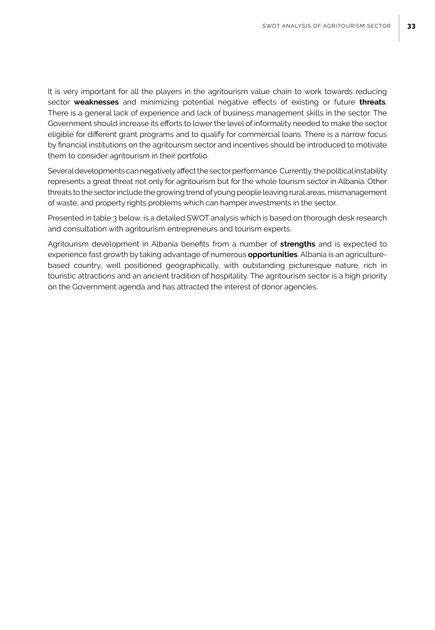It is very important for all the players in the agritourism value chain to work towards reducing sector **weaknesses** and minimizing potential negative effects of existing or future **threats**. There is a general lack of experience and lack of business management skills in the sector. The Government should increase its efforts to lower the level of informality needed to make the sector eligible for different grant programs and to qualify for commercial loans. There is a narrow focus by financial institutions on the agritourism sector and incentives should be introduced to motivate them to consider agritourism in their portfolio.

Several developments can negatively affect the sector performance. Currently, the political instability represents a great threat not only for agritourism but for the whole tourism sector in Albania. Other threats to the sector include the growing trend of young people leaving rural areas, mismanagement of waste, and property rights problems which can hamper investments in the sector.

Presented in table 3 below, is a detailed SWOT analysis which is based on thorough desk research and consultation with agritourism entrepreneurs and tourism experts.

Agritourism development in Albania benefits from a number of **strengths** and is expected to experience fast growth by taking advantage of numerous **opportunities**. Albania is an agriculturebased country, well positioned geographically, with outstanding picturesque nature, rich in touristic attractions and an ancient tradition of hospitality. The agritourism sector is a high priority on the Government agenda and has attracted the interest of donor agencies.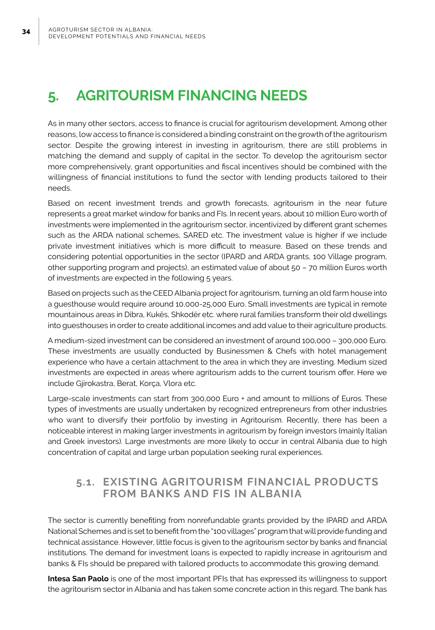# **5. AGRITOURISM FINANCING NEEDS**

As in many other sectors, access to finance is crucial for agritourism development. Among other reasons, low access to finance is considered a binding constraint on the growth of the agritourism sector. Despite the growing interest in investing in agritourism, there are still problems in matching the demand and supply of capital in the sector. To develop the agritourism sector more comprehensively, grant opportunities and fiscal incentives should be combined with the willingness of financial institutions to fund the sector with lending products tailored to their needs.

Based on recent investment trends and growth forecasts, agritourism in the near future represents a great market window for banks and FIs. In recent years, about 10 million Euro worth of investments were implemented in the agritourism sector, incentivized by different grant schemes such as the ARDA national schemes, SARED etc. The investment value is higher if we include private investment initiatives which is more difficult to measure. Based on these trends and considering potential opportunities in the sector (IPARD and ARDA grants, 100 Village program, other supporting program and projects), an estimated value of about 50 – 70 million Euros worth of investments are expected in the following 5 years.

Based on projects such as the CEED Albania project for agritourism, turning an old farm house into a guesthouse would require around 10,000-25,000 Euro. Small investments are typical in remote mountainous areas in Dibra, Kukës, Shkodër etc. where rural families transform their old dwellings into guesthouses in order to create additional incomes and add value to their agriculture products.

A medium-sized investment can be considered an investment of around 100,000 – 300,000 Euro. These investments are usually conducted by Businessmen & Chefs with hotel management experience who have a certain attachment to the area in which they are investing. Medium sized investments are expected in areas where agritourism adds to the current tourism offer. Here we include Gjirokastra, Berat, Korça, Vlora etc.

Large-scale investments can start from 300,000 Euro + and amount to millions of Euros. These types of investments are usually undertaken by recognized entrepreneurs from other industries who want to diversify their portfolio by investing in Agritourism. Recently, there has been a noticeable interest in making larger investments in agritourism by foreign investors (mainly Italian and Greek investors). Large investments are more likely to occur in central Albania due to high concentration of capital and large urban population seeking rural experiences.

### **5.1. EXISTING AGRITOURISM FINANCIAL PRODUCTS FROM BANKS AND FIS IN ALBANIA**

The sector is currently benefiting from nonrefundable grants provided by the IPARD and ARDA National Schemes and is set to benefit from the "100 villages" program that will provide funding and technical assistance. However, little focus is given to the agritourism sector by banks and financial institutions. The demand for investment loans is expected to rapidly increase in agritourism and banks & FIs should be prepared with tailored products to accommodate this growing demand.

**Intesa San Paolo** is one of the most important PFIs that has expressed its willingness to support the agritourism sector in Albania and has taken some concrete action in this regard. The bank has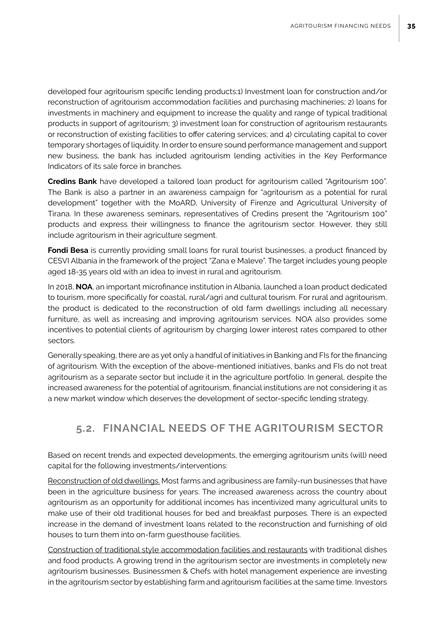developed four agritourism specific lending products:1) Investment loan for construction and/or reconstruction of agritourism accommodation facilities and purchasing machineries; 2) loans for investments in machinery and equipment to increase the quality and range of typical traditional products in support of agritourism; 3) investment loan for construction of agritourism restaurants or reconstruction of existing facilities to offer catering services; and 4) circulating capital to cover temporary shortages of liquidity. In order to ensure sound performance management and support new business, the bank has included agritourism lending activities in the Key Performance Indicators of its sale force in branches.

**Credins Bank** have developed a tailored loan product for agritourism called "Agritourism 100". The Bank is also a partner in an awareness campaign for "agritourism as a potential for rural development" together with the MoARD, University of Firenze and Agricultural University of Tirana. In these awareness seminars, representatives of Credins present the "Agritourism 100" products and express their willingness to finance the agritourism sector. However, they still include agritourism in their agriculture segment.

**Fondi Besa** is currently providing small loans for rural tourist businesses, a product financed by CESVI Albania in the framework of the project "Zana e Maleve". The target includes young people aged 18-35 years old with an idea to invest in rural and agritourism.

In 2018, **NOA**, an important microfinance institution in Albania, launched a loan product dedicated to tourism, more specifically for coastal, rural/agri and cultural tourism. For rural and agritourism, the product is dedicated to the reconstruction of old farm dwellings including all necessary furniture, as well as increasing and improving agritourism services. NOA also provides some incentives to potential clients of agritourism by charging lower interest rates compared to other sectors.

Generally speaking, there are as yet only a handful of initiatives in Banking and FIs for the financing of agritourism. With the exception of the above-mentioned initiatives, banks and FIs do not treat agritourism as a separate sector but include it in the agriculture portfolio. In general, despite the increased awareness for the potential of agritourism, financial institutions are not considering it as a new market window which deserves the development of sector-specific lending strategy.

### **5.2. FINANCIAL NEEDS OF THE AGRITOURISM SECTOR**

Based on recent trends and expected developments, the emerging agritourism units (will) need capital for the following investments/interventions:

Reconstruction of old dwellings. Most farms and agribusiness are family-run businesses that have been in the agriculture business for years. The increased awareness across the country about agritourism as an opportunity for additional incomes has incentivized many agricultural units to make use of their old traditional houses for bed and breakfast purposes. There is an expected increase in the demand of investment loans related to the reconstruction and furnishing of old houses to turn them into on-farm guesthouse facilities.

Construction of traditional style accommodation facilities and restaurants with traditional dishes and food products. A growing trend in the agritourism sector are investments in completely new agritourism businesses. Businessmen & Chefs with hotel management experience are investing in the agritourism sector by establishing farm and agritourism facilities at the same time. Investors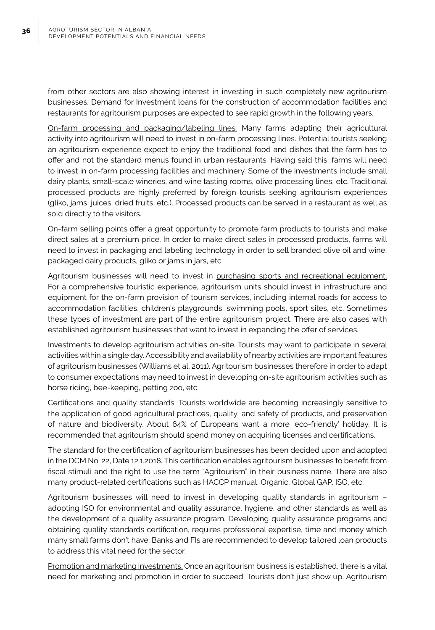from other sectors are also showing interest in investing in such completely new agritourism businesses. Demand for Investment loans for the construction of accommodation facilities and restaurants for agritourism purposes are expected to see rapid growth in the following years.

On-farm processing and packaging/labeling lines. Many farms adapting their agricultural activity into agritourism will need to invest in on-farm processing lines. Potential tourists seeking an agritourism experience expect to enjoy the traditional food and dishes that the farm has to offer and not the standard menus found in urban restaurants. Having said this, farms will need to invest in on-farm processing facilities and machinery. Some of the investments include small dairy plants, small-scale wineries, and wine tasting rooms, olive processing lines, etc. Traditional processed products are highly preferred by foreign tourists seeking agritourism experiences (gliko, jams, juices, dried fruits, etc.). Processed products can be served in a restaurant as well as sold directly to the visitors.

On-farm selling points offer a great opportunity to promote farm products to tourists and make direct sales at a premium price. In order to make direct sales in processed products, farms will need to invest in packaging and labeling technology in order to sell branded olive oil and wine, packaged dairy products, gliko or jams in jars, etc.

Agritourism businesses will need to invest in purchasing sports and recreational equipment. For a comprehensive touristic experience, agritourism units should invest in infrastructure and equipment for the on-farm provision of tourism services, including internal roads for access to accommodation facilities, children's playgrounds, swimming pools, sport sites, etc. Sometimes these types of investment are part of the entire agritourism project. There are also cases with established agritourism businesses that want to invest in expanding the offer of services.

Investments to develop agritourism activities on-site. Tourists may want to participate in several activities within a single day. Accessibility and availability of nearby activities are important features of agritourism businesses (Williams et al. 2011). Agritourism businesses therefore in order to adapt to consumer expectations may need to invest in developing on-site agritourism activities such as horse riding, bee-keeping, petting zoo, etc.

Certifications and quality standards. Tourists worldwide are becoming increasingly sensitive to the application of good agricultural practices, quality, and safety of products, and preservation of nature and biodiversity. About 64% of Europeans want a more 'eco-friendly' holiday. It is recommended that agritourism should spend money on acquiring licenses and certifications.

The standard for the certification of agritourism businesses has been decided upon and adopted in the DCM No. 22, Date 12.1.2018. This certification enables agritourism businesses to benefit from fiscal stimuli and the right to use the term "Agritourism" in their business name. There are also many product-related certifications such as HACCP manual, Organic, Global GAP, ISO, etc.

Agritourism businesses will need to invest in developing quality standards in agritourism – adopting ISO for environmental and quality assurance, hygiene, and other standards as well as the development of a quality assurance program. Developing quality assurance programs and obtaining quality standards certification, requires professional expertise, time and money which many small farms don't have. Banks and FIs are recommended to develop tailored loan products to address this vital need for the sector.

Promotion and marketing investments. Once an agritourism business is established, there is a vital need for marketing and promotion in order to succeed. Tourists don't just show up. Agritourism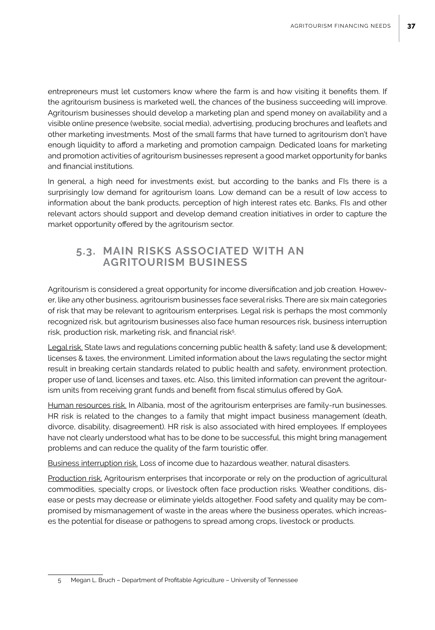entrepreneurs must let customers know where the farm is and how visiting it benefits them. If the agritourism business is marketed well, the chances of the business succeeding will improve. Agritourism businesses should develop a marketing plan and spend money on availability and a visible online presence (website, social media), advertising, producing brochures and leaflets and other marketing investments. Most of the small farms that have turned to agritourism don't have enough liquidity to afford a marketing and promotion campaign. Dedicated loans for marketing and promotion activities of agritourism businesses represent a good market opportunity for banks and financial institutions.

In general, a high need for investments exist, but according to the banks and FIs there is a surprisingly low demand for agritourism loans. Low demand can be a result of low access to information about the bank products, perception of high interest rates etc. Banks, FIs and other relevant actors should support and develop demand creation initiatives in order to capture the market opportunity offered by the agritourism sector.

### **5.3. MAIN RISKS ASSOCIATED WITH AN AGRITOURISM BUSINESS**

Agritourism is considered a great opportunity for income diversification and job creation. However, like any other business, agritourism businesses face several risks. There are six main categories of risk that may be relevant to agritourism enterprises. Legal risk is perhaps the most commonly recognized risk, but agritourism businesses also face human resources risk, business interruption risk, production risk, marketing risk, and financial risk<sup>5</sup>. .

Legal risk. State laws and regulations concerning public health & safety; land use & development; licenses & taxes, the environment. Limited information about the laws regulating the sector might result in breaking certain standards related to public health and safety, environment protection, proper use of land, licenses and taxes, etc. Also, this limited information can prevent the agritourism units from receiving grant funds and benefit from fiscal stimulus offered by GoA.

Human resources risk. In Albania, most of the agritourism enterprises are family-run businesses. HR risk is related to the changes to a family that might impact business management (death, divorce, disability, disagreement). HR risk is also associated with hired employees. If employees have not clearly understood what has to be done to be successful, this might bring management problems and can reduce the quality of the farm touristic offer.

Business interruption risk. Loss of income due to hazardous weather, natural disasters.

Production risk. Agritourism enterprises that incorporate or rely on the production of agricultural commodities, specialty crops, or livestock often face production risks. Weather conditions, disease or pests may decrease or eliminate yields altogether. Food safety and quality may be compromised by mismanagement of waste in the areas where the business operates, which increases the potential for disease or pathogens to spread among crops, livestock or products.

<sup>5</sup> Megan L. Bruch – Department of Profitable Agriculture – University of Tennessee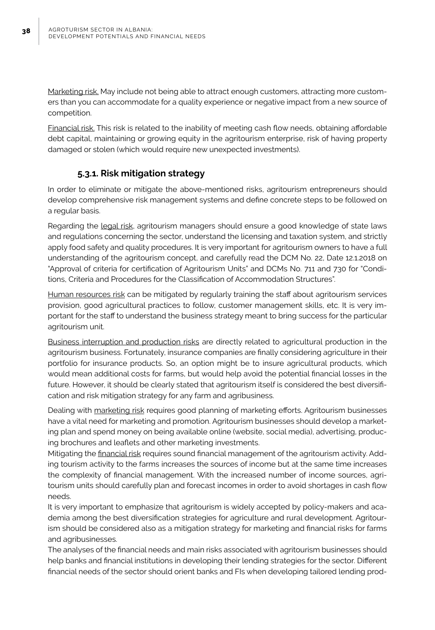Marketing risk. May include not being able to attract enough customers, attracting more customers than you can accommodate for a quality experience or negative impact from a new source of competition.

Financial risk. This risk is related to the inability of meeting cash flow needs, obtaining affordable debt capital, maintaining or growing equity in the agritourism enterprise, risk of having property damaged or stolen (which would require new unexpected investments).

### **5.3.1. Risk mitigation strategy**

In order to eliminate or mitigate the above-mentioned risks, agritourism entrepreneurs should develop comprehensive risk management systems and define concrete steps to be followed on a regular basis.

Regarding the legal risk, agritourism managers should ensure a good knowledge of state laws and regulations concerning the sector, understand the licensing and taxation system, and strictly apply food safety and quality procedures. It is very important for agritourism owners to have a full understanding of the agritourism concept, and carefully read the DCM No. 22, Date 12.1.2018 on "Approval of criteria for certification of Agritourism Units" and DCMs No. 711 and 730 for "Conditions, Criteria and Procedures for the Classification of Accommodation Structures".

Human resources risk can be mitigated by regularly training the staff about agritourism services provision, good agricultural practices to follow, customer management skills, etc. It is very important for the staff to understand the business strategy meant to bring success for the particular agritourism unit.

Business interruption and production risks are directly related to agricultural production in the agritourism business. Fortunately, insurance companies are finally considering agriculture in their portfolio for insurance products. So, an option might be to insure agricultural products, which would mean additional costs for farms, but would help avoid the potential financial losses in the future. However, it should be clearly stated that agritourism itself is considered the best diversification and risk mitigation strategy for any farm and agribusiness.

Dealing with marketing risk requires good planning of marketing efforts. Agritourism businesses have a vital need for marketing and promotion. Agritourism businesses should develop a marketing plan and spend money on being available online (website, social media), advertising, producing brochures and leaflets and other marketing investments.

Mitigating the financial risk requires sound financial management of the agritourism activity. Adding tourism activity to the farms increases the sources of income but at the same time increases the complexity of financial management. With the increased number of income sources, agritourism units should carefully plan and forecast incomes in order to avoid shortages in cash flow needs.

It is very important to emphasize that agritourism is widely accepted by policy-makers and academia among the best diversification strategies for agriculture and rural development. Agritourism should be considered also as a mitigation strategy for marketing and financial risks for farms and agribusinesses.

The analyses of the financial needs and main risks associated with agritourism businesses should help banks and financial institutions in developing their lending strategies for the sector. Different financial needs of the sector should orient banks and FIs when developing tailored lending prod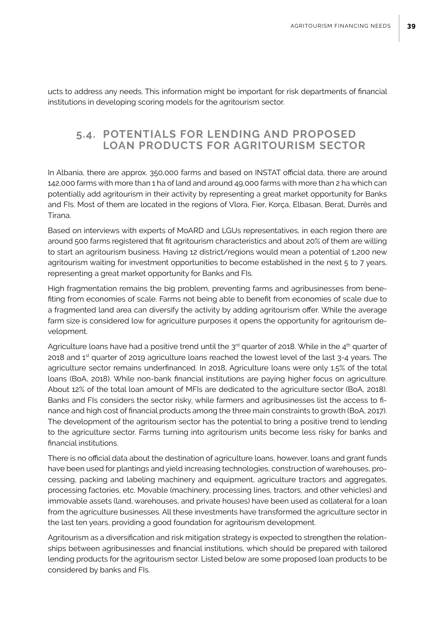ucts to address any needs. This information might be important for risk departments of financial institutions in developing scoring models for the agritourism sector.

### **5.4. POTENTIALS FOR LENDING AND PROPOSED LOAN PRODUCTS FOR AGRITOURISM SECTOR**

In Albania, there are approx. 350,000 farms and based on INSTAT official data, there are around 142,000 farms with more than 1 ha of land and around 49,000 farms with more than 2 ha which can potentially add agritourism in their activity by representing a great market opportunity for Banks and FIs. Most of them are located in the regions of Vlora, Fier, Korça, Elbasan, Berat, Durrës and Tirana.

Based on interviews with experts of MoARD and LGUs representatives, in each region there are around 500 farms registered that fit agritourism characteristics and about 20% of them are willing to start an agritourism business. Having 12 district/regions would mean a potential of 1,200 new agritourism waiting for investment opportunities to become established in the next 5 to 7 years, representing a great market opportunity for Banks and FIs.

High fragmentation remains the big problem, preventing farms and agribusinesses from benefiting from economies of scale. Farms not being able to benefit from economies of scale due to a fragmented land area can diversify the activity by adding agritourism offer. While the average farm size is considered low for agriculture purposes it opens the opportunity for agritourism development.

Agriculture loans have had a positive trend until the  $3<sup>rd</sup>$  quarter of 2018. While in the 4<sup>th</sup> quarter of 2018 and 1<sup>st</sup> quarter of 2019 agriculture loans reached the lowest level of the last 3-4 years. The agriculture sector remains underfinanced. In 2018, Agriculture loans were only 1.5% of the total loans (BoA, 2018). While non-bank financial institutions are paying higher focus on agriculture. About 12% of the total loan amount of MFIs are dedicated to the agriculture sector (BoA, 2018). Banks and FIs considers the sector risky, while farmers and agribusinesses list the access to finance and high cost of financial products among the three main constraints to growth (BoA, 2017). The development of the agritourism sector has the potential to bring a positive trend to lending to the agriculture sector. Farms turning into agritourism units become less risky for banks and financial institutions.

There is no official data about the destination of agriculture loans, however, loans and grant funds have been used for plantings and yield increasing technologies, construction of warehouses, processing, packing and labeling machinery and equipment, agriculture tractors and aggregates, processing factories, etc. Movable (machinery, processing lines, tractors, and other vehicles) and immovable assets (land, warehouses, and private houses) have been used as collateral for a loan from the agriculture businesses. All these investments have transformed the agriculture sector in the last ten years, providing a good foundation for agritourism development.

Agritourism as a diversification and risk mitigation strategy is expected to strengthen the relationships between agribusinesses and financial institutions, which should be prepared with tailored lending products for the agritourism sector. Listed below are some proposed loan products to be considered by banks and FIs.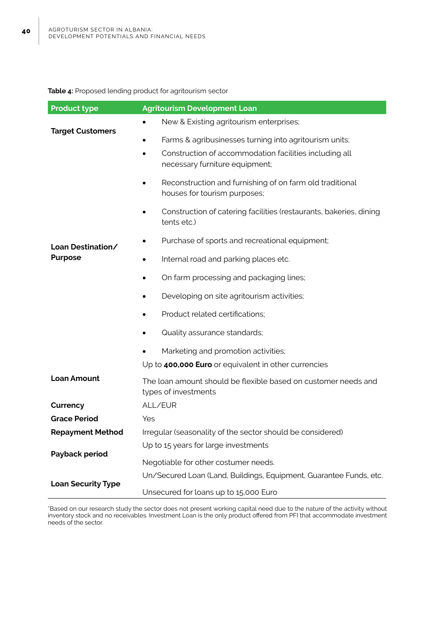#### **Table 4:** Proposed lending product for agritourism sector

| <b>Product type</b>       | <b>Agritourism Development Loan</b>                                                      |  |  |  |  |
|---------------------------|------------------------------------------------------------------------------------------|--|--|--|--|
|                           | New & Existing agritourism enterprises;                                                  |  |  |  |  |
| <b>Target Customers</b>   | Farms & agribusinesses turning into agritourism units;                                   |  |  |  |  |
|                           | Construction of accommodation facilities including all<br>necessary furniture equipment; |  |  |  |  |
|                           | Reconstruction and furnishing of on farm old traditional<br>houses for tourism purposes; |  |  |  |  |
|                           | Construction of catering facilities (restaurants, bakeries, dining<br>tents etc.)        |  |  |  |  |
| Loan Destination/         | Purchase of sports and recreational equipment;                                           |  |  |  |  |
| <b>Purpose</b>            | Internal road and parking places etc.                                                    |  |  |  |  |
|                           | On farm processing and packaging lines;                                                  |  |  |  |  |
|                           | Developing on site agritourism activities;                                               |  |  |  |  |
|                           | Product related certifications;                                                          |  |  |  |  |
|                           | Quality assurance standards;                                                             |  |  |  |  |
|                           | Marketing and promotion activities;                                                      |  |  |  |  |
|                           | Up to 400,000 Euro or equivalent in other currencies                                     |  |  |  |  |
| <b>Loan Amount</b>        | The loan amount should be flexible based on customer needs and<br>types of investments   |  |  |  |  |
| Currency                  | ALL/EUR                                                                                  |  |  |  |  |
| <b>Grace Period</b>       | Yes                                                                                      |  |  |  |  |
| <b>Repayment Method</b>   | Irregular (seasonality of the sector should be considered)                               |  |  |  |  |
|                           | Up to 15 years for large investments                                                     |  |  |  |  |
| Payback period            | Negotiable for other costumer needs.                                                     |  |  |  |  |
|                           | Un/Secured Loan (Land, Buildings, Equipment, Guarantee Funds, etc.                       |  |  |  |  |
| <b>Loan Security Type</b> | Unsecured for loans up to 15,000 Euro                                                    |  |  |  |  |

\*Based on our research study the sector does not present working capital need due to the nature of the activity without inventory stock and no receivables. Investment Loan is the only product offered from PFI that accommodate investment needs of the sector.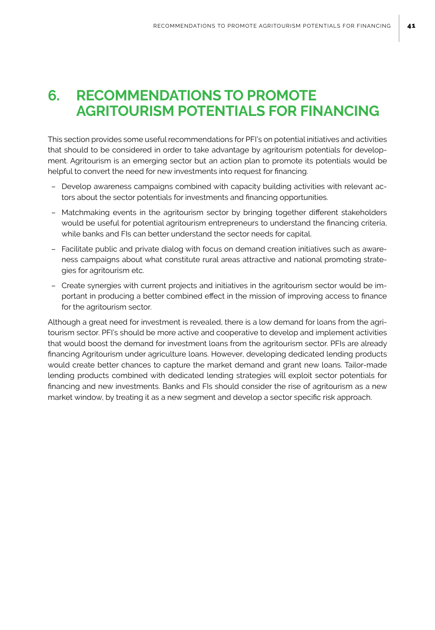# **6. RECOMMENDATIONS TO PROMOTE AGRITOURISM POTENTIALS FOR FINANCING**

This section provides some useful recommendations for PFI's on potential initiatives and activities that should to be considered in order to take advantage by agritourism potentials for development. Agritourism is an emerging sector but an action plan to promote its potentials would be helpful to convert the need for new investments into request for financing.

- Develop awareness campaigns combined with capacity building activities with relevant actors about the sector potentials for investments and financing opportunities.
- Matchmaking events in the agritourism sector by bringing together different stakeholders would be useful for potential agritourism entrepreneurs to understand the financing criteria, while banks and FIs can better understand the sector needs for capital.
- Facilitate public and private dialog with focus on demand creation initiatives such as awareness campaigns about what constitute rural areas attractive and national promoting strategies for agritourism etc.
- Create synergies with current projects and initiatives in the agritourism sector would be important in producing a better combined effect in the mission of improving access to finance for the agritourism sector.

Although a great need for investment is revealed, there is a low demand for loans from the agritourism sector. PFI's should be more active and cooperative to develop and implement activities that would boost the demand for investment loans from the agritourism sector. PFIs are already financing Agritourism under agriculture loans. However, developing dedicated lending products would create better chances to capture the market demand and grant new loans. Tailor-made lending products combined with dedicated lending strategies will exploit sector potentials for financing and new investments. Banks and FIs should consider the rise of agritourism as a new market window, by treating it as a new segment and develop a sector specific risk approach.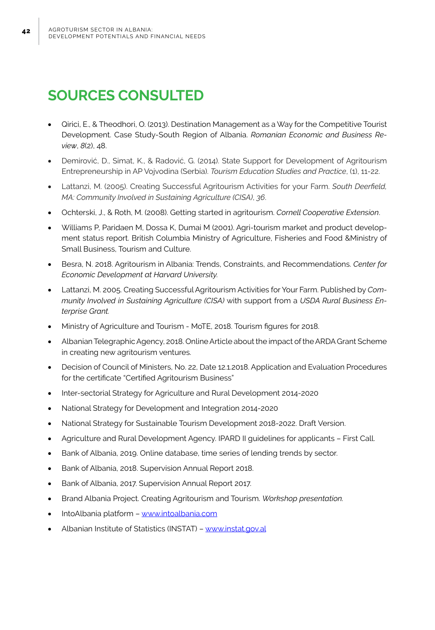# **SOURCES CONSULTED**

- Girici, E., & Theodhori, O. (2013). Destination Management as a Way for the Competitive Tourist Development. Case Study-South Region of Albania. *Romanian Economic and Business Review*, *8*(2), 48.
- Demirović, D., Simat, K., & Radović, G. (2014). State Support for Development of Agritourism Entrepreneurship in AP Vojvodina (Serbia). *Tourism Education Studies and Practice*, (1), 11-22.
- Lattanzi, M. (2005). Creating Successful Agritourism Activities for your Farm. South Deerfield, *MA: Community Involved in Sustaining Agriculture (CISA)*, *36*.
- Ochterski, J., & Roth, M. (2008). Getting started in agritourism. *Cornell Cooperative Extension*.
- Williams P, Paridaen M, Dossa K, Dumai M (2001). Agri-tourism market and product development status report. British Columbia Ministry of Agriculture, Fisheries and Food &Ministry of Small Business, Tourism and Culture.
- Besra, N. 2018. Agritourism in Albania: Trends, Constraints, and Recommendations. Center for *Economic Development at Harvard University.*
- • Lattanzi, M. 2005. Creating Successful Agritourism Activities for Your Farm. Published by *Community Involved in Sustaining Agriculture (CISA)* with support from a *USDA Rural Business Enterprise Grant.*
- Ministry of Agriculture and Tourism MoTE, 2018. Tourism figures for 2018.
- • Albanian Telegraphic Agency, 2018. Online Article about the impact of the ARDA Grant Scheme in creating new agritourism ventures.
- Decision of Council of Ministers, No. 22, Date 12.1.2018. Application and Evaluation Procedures for the certificate "Certified Agritourism Business"
- Inter-sectorial Strategy for Agriculture and Rural Development 2014-2020
- National Strategy for Development and Integration 2014-2020
- National Strategy for Sustainable Tourism Development 2018-2022. Draft Version.
- Agriculture and Rural Development Agency. IPARD II guidelines for applicants First Call.
- Bank of Albania, 2019. Online database, time series of lending trends by sector.
- Bank of Albania, 2018. Supervision Annual Report 2018.
- • Bank of Albania, 2017. Supervision Annual Report 2017.
- Brand Albania Project. Creating Agritourism and Tourism. Workshop presentation.
- IntoAlbania platform www.intoalbania.com
- Albanian Institute of Statistics (INSTAT) www.instat.gov.al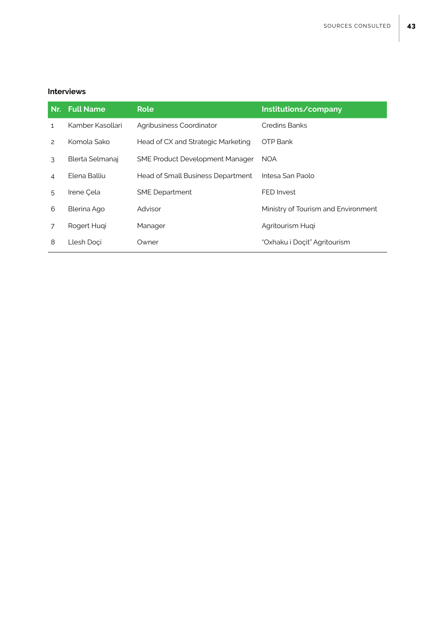#### **Interviews**

|                | Nr. Full Name    | <b>Role</b>                            | Institutions/company                |  |
|----------------|------------------|----------------------------------------|-------------------------------------|--|
| 1              | Kamber Kasollari | Agribusiness Coordinator               | <b>Credins Banks</b>                |  |
| $\mathcal{P}$  | Komola Sako      | Head of CX and Strategic Marketing     | OTP Bank                            |  |
| 3              | Blerta Selmanaj  | <b>SME Product Development Manager</b> | <b>NOA</b>                          |  |
| $\overline{4}$ | Elena Balliu     | Head of Small Business Department      | Intesa San Paolo                    |  |
| 5              | Irene Cela       | <b>SME</b> Department                  | FED Invest                          |  |
| 6              | Blerina Ago      | Advisor                                | Ministry of Tourism and Environment |  |
| 7              | Rogert Hugi      | Manager                                | Agritourism Hugi                    |  |
| 8              | Llesh Doci       | Owner                                  | "Oxhaku i Docit" Agritourism        |  |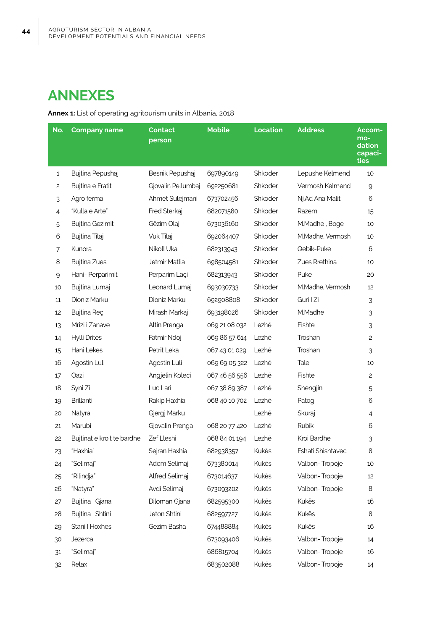# **ANNEXES**

**Annex 1:** List of operating agritourism units in Albania, 2018

| No. | <b>Company name</b>        | Contact<br>person  | <b>Mobile</b> | <b>Location</b> | <b>Address</b>    | Accom-<br>mo-<br>dation<br>capaci-<br>ties |
|-----|----------------------------|--------------------|---------------|-----------------|-------------------|--------------------------------------------|
| 1   | Bujtina Pepushaj           | Besnik Pepushaj    | 697890149     | Shkoder         | Lepushe Kelmend   | 10                                         |
| 2   | Bujtina e Fratit           | Gjovalin Pellumbaj | 692250681     | Shkoder         | Vermosh Kelmend   | $\mathsf 9$                                |
| 3   | Agro ferma                 | Ahmet Sulejmani    | 673702456     | Shkoder         | Nj.Ad Ana Malit   | 6                                          |
| 4   | "Kulla e Arte"             | Fred Sterkaj       | 682071580     | Shkoder         | Razem             | 15                                         |
| 5   | Bujtina Gezimit            | Gëzim Olaj         | 673036160     | Shkoder         | M.Madhe, Boge     | 10                                         |
| 6   | Bujtina Tilaj              | Vuk Tilaj          | 692064407     | Shkoder         | M.Madhe, Vermosh  | 10                                         |
| 7   | Kunora                     | Nikoll Uka         | 682313943     | Shkoder         | Qebik-Puke        | 6                                          |
| 8   | <b>Bujtina Zues</b>        | Jetmir Matlia      | 698504581     | Shkoder         | Zues Rrethina     | 10                                         |
| 9   | Hani- Perparimit           | Perparim Laci      | 682313943     | Shkoder         | Puke              | 20                                         |
| 10  | Bujtina Lumaj              | Leonard Lumaj      | 693030733     | Shkoder         | M.Madhe, Vermosh  | 12                                         |
| 11  | Dioniz Marku               | Dioniz Marku       | 692908808     | Shkoder         | Guri I Zi         | 3                                          |
| 12  | Bujtina Reç                | Mirash Markaj      | 693198026     | Shkoder         | M.Madhe           | 3                                          |
| 13  | Mrizi i Zanave             | Altin Prenga       | 069 21 08 032 | Lezhë           | Fishte            | 3                                          |
| 14  | Hylli Drites               | Fatmir Ndoj        | 069 86 57 614 | Lezhë           | Troshan           | $\mathsf{S}$                               |
| 15  | Hani Lekes                 | Petrit Leka        | 067 43 01 029 | Lezhë           | Troshan           | 3                                          |
| 16  | Agostin Luli               | Agostin Luli       | 069 69 05 322 | Lezhë           | Tale              | 10                                         |
| 17  | Oazi                       | Angjelin Koleci    | 067 46 56 556 | Lezhë           | Fishte            | $\mathbf{2}$                               |
| 18  | Syni Zi                    | Luc Lari           | 067 38 89 387 | Lezhë           | Shengjin          | 5                                          |
| 19  | <b>Brillanti</b>           | Rakip Haxhia       | 068 40 10 702 | Lezhë           | Patog             | 6                                          |
| 20  | Natyra                     | Gjergj Marku       |               | Lezhë           | Skuraj            | $\overline{4}$                             |
| 21  | Marubi                     | Gjovalin Prenga    | 068 20 77 420 | Lezhë           | Rubik             | 6                                          |
| 22  | Bujtinat e kroit te bardhe | Zef Lleshi         | 068 84 01 194 | Lezhë           | Kroi Bardhe       | 3                                          |
| 23  | "Haxhia"                   | Sejran Haxhia      | 682938357     | Kukës           | Fshati Shishtavec | 8                                          |
| 24  | "Selimai"                  | Adem Selimai       | 673380014     | Kukës           | Valbon-Tropoie    | 10                                         |
| 25  | "Rilindja"                 | Alfred Selimaj     | 673014637     | Kukës           | Valbon-Tropoje    | 12                                         |
| 26  | "Natyra"                   | Avdi Selimaj       | 673093202     | Kukës           | Valbon-Tropoje    | 8                                          |
| 27  | Bujtina Gjana              | Diloman Gjana      | 682595300     | Kukës           | Kukës             | 16                                         |
| 28  | Bujtina Shtini             | Jeton Shtini       | 682597727     | Kukës           | Kukës             | 8                                          |
| 29  | Stani I Hoxhes             | Gezim Basha        | 674488884     | Kukës           | Kukës             | 16                                         |
| 30  | Jezerca                    |                    | 673093406     | Kukës           | Valbon-Tropoje    | 14                                         |
| 31  | "Selimaj"                  |                    | 686815704     | Kukës           | Valbon-Tropoje    | 16                                         |
| 32  | Relax                      |                    | 683502088     | Kukës           | Valbon-Tropoje    | 14                                         |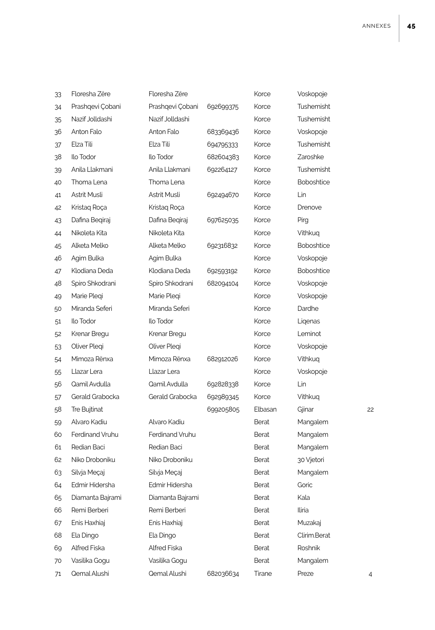| 33 | Floresha Zëre    | Floresha Zëre    |           | Korce        | Voskopoje         |    |
|----|------------------|------------------|-----------|--------------|-------------------|----|
| 34 | Prashqevi Çobani | Prashqevi Çobani | 692699375 | Korce        | Tushemisht        |    |
| 35 | Nazif Jolldashi  | Nazif Jolldashi  |           | Korce        | Tushemisht        |    |
| 36 | Anton Falo       | Anton Falo       | 683369436 | Korce        | Voskopoje         |    |
| 37 | Elza Tili        | Elza Tili        | 694795333 | Korce        | Tushemisht        |    |
| 38 | Ilo Todor        | Ilo Todor        | 682604383 | Korce        | Zaroshke          |    |
| 39 | Anila Llakmani   | Anila Llakmani   | 692264127 | Korce        | Tushemisht        |    |
| 40 | Thoma Lena       | Thoma Lena       |           | Korce        | Boboshtice        |    |
| 41 | Astrit Musli     | Astrit Musli     | 692494670 | Korce        | Lin               |    |
| 42 | Kristaq Roça     | Kristaq Roça     |           | Korce        | Drenove           |    |
| 43 | Dafina Beqiraj   | Dafina Begiraj   | 697625035 | Korce        | Pirg              |    |
| 44 | Nikoleta Kita    | Nikoleta Kita    |           | Korce        | Vithkuq           |    |
| 45 | Alketa Melko     | Alketa Melko     | 692316832 | Korce        | <b>Boboshtice</b> |    |
| 46 | Agim Bulka       | Agim Bulka       |           | Korce        | Voskopoje         |    |
| 47 | Klodiana Deda    | Klodiana Deda    | 692593192 | Korce        | <b>Boboshtice</b> |    |
| 48 | Spiro Shkodrani  | Spiro Shkodrani  | 682094104 | Korce        | Voskopoje         |    |
| 49 | Marie Pleqi      | Marie Plegi      |           | Korce        | Voskopoje         |    |
| 50 | Miranda Seferi   | Miranda Seferi   |           | Korce        | Dardhe            |    |
| 51 | Ilo Todor        | Ilo Todor        |           | Korce        | Liqenas           |    |
| 52 | Krenar Bregu     | Krenar Bregu     |           | Korce        | Leminot           |    |
| 53 | Oliver Plegi     | Oliver Plegi     |           | Korce        | Voskopoje         |    |
| 54 | Mimoza Rënxa     | Mimoza Rënxa     | 682912026 | Korce        | Vithkuq           |    |
| 55 | Llazar Lera      | Llazar Lera      |           | Korce        | Voskopoje         |    |
| 56 | Qamil Avdulla    | Qamil Avdulla    | 692828338 | Korce        | Lin               |    |
| 57 | Gerald Grabocka  | Gerald Grabocka  | 692989345 | Korce        | Vithkuq           |    |
| 58 | Tre Bujtinat     |                  | 699205805 | Elbasan      | Gjinar            | 22 |
| 59 | Alvaro Kadiu     | Alvaro Kadiu     |           | <b>Berat</b> | Mangalem          |    |
| 60 | Ferdinand Vruhu  | Ferdinand Vruhu  |           | Berat        | Mangalem          |    |
| 61 | Redian Baci      | Redian Baci      |           | Berat        | Mangalem          |    |
| 62 | Niko Droboniku   | Niko Droboniku   |           | Berat        | 30 Vjetori        |    |
| 63 | Silvja Meçaj     | Silvja Meçaj     |           | Berat        | Mangalem          |    |
| 64 | Edmir Hidersha   | Edmir Hidersha   |           | Berat        | Goric             |    |
| 65 | Diamanta Bajrami | Diamanta Bajrami |           | Berat        | Kala              |    |
| 66 | Remi Berberi     | Remi Berberi     |           | <b>Berat</b> | Iliria            |    |
| 67 | Enis Haxhiaj     | Enis Haxhiaj     |           | Berat        | Muzakaj           |    |
| 68 | Ela Dingo        | Ela Dingo        |           | Berat        | Clirim.Berat      |    |
| 69 | Alfred Fiska     | Alfred Fiska     |           | Berat        | Roshnik           |    |
| 70 | Vasilika Gogu    | Vasilika Gogu    |           | Berat        | Mangalem          |    |
| 71 | Qemal Alushi     | Qemal Alushi     | 682036634 | Tirane       | Preze             | 4  |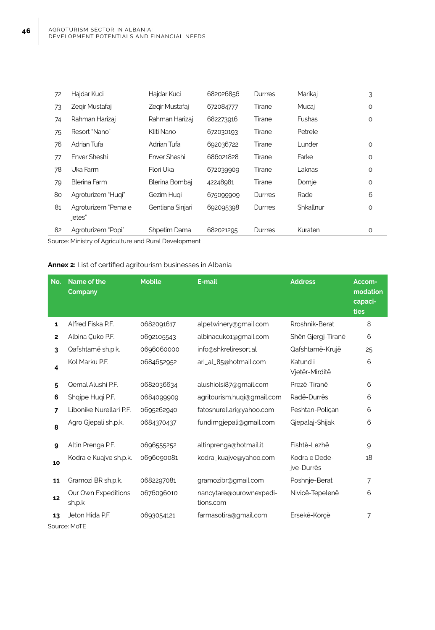**46**

| 72                                                           | Hajdar Kuci                   | Hajdar Kuci      | 682026856 | Durrres        | Marikaj   | 3       |  |
|--------------------------------------------------------------|-------------------------------|------------------|-----------|----------------|-----------|---------|--|
| 73                                                           | Zegir Mustafaj                | Zegir Mustafaj   | 672084777 | Tirane         | Mucaj     | 0       |  |
| 74                                                           | Rahman Harizaj                | Rahman Harizaj   | 682273916 | Tirane         | Fushas    | 0       |  |
| 75                                                           | Resort "Nano"                 | Kliti Nano       | 672030193 | Tirane         | Petrele   |         |  |
| 76                                                           | Adrian Tufa                   | Adrian Tufa      | 692036722 | Tirane         | Lunder    | 0       |  |
| 77                                                           | Enver Sheshi                  | Enver Sheshi     | 686021828 | Tirane         | Farke     | $\circ$ |  |
| 78                                                           | Uka Farm                      | Flori Uka        | 672039909 | Tirane         | Laknas    | 0       |  |
| 79                                                           | Blerina Farm                  | Blerina Bombai   | 42248981  | Tirane         | Domje     | $\circ$ |  |
| 80                                                           | Agroturizem "Hugi"            | Gezim Hugi       | 675099909 | <b>Durrres</b> | Rade      | 6       |  |
| 81                                                           | Agroturizem "Pema e<br>jetes" | Gentiana Sinjari | 692095398 | <b>Durrres</b> | Shkallnur | 0       |  |
| 82                                                           | Agroturizem "Popi"            | Shpetim Dama     | 682021295 | Durrres        | Kuraten   | 0       |  |
| $\alpha$ uroo Ministra ef Aqriquiture and Dural Doveloppeant |                               |                  |           |                |           |         |  |

L

Source: Ministry of Agriculture and Rural Development

#### **Annex 2:** List of certified agritourism businesses in Albania

| No.          | Name of the<br>Company        | <b>Mobile</b> | E-mail                               | <b>Address</b>              | Accom-<br>modation<br>capaci-<br><b>ties</b> |
|--------------|-------------------------------|---------------|--------------------------------------|-----------------------------|----------------------------------------------|
| 1            | Alfred Fiska P.F.             | 0682091617    | alpetwinery@gmail.com                | Rroshnik-Berat              | 8                                            |
| $\mathbf{2}$ | Albina Çuko P.F.              | 0692105543    | albinacuko1@gmail.com                | Shën Gjergj-Tiranë          | 6                                            |
| 3            | Qafshtamë sh.p.k.             | 0696060000    | info@shkreliresort.al                | Qafshtamë-Krujë             | 25                                           |
| 4            | Kol Marku P.F.                | 0684652952    | ari_al_85@hotmail.com                | Katund i<br>Vjetër-Mirditë  | 6                                            |
| 5            | Qemal Alushi P.F.             | 0682036634    | alushiolsi87@gmail.com               | Prezë-Tiranë                | 6                                            |
| 6            | Shqipe Huqi P.F.              | 0684099909    | agritourism.huqi@gmail.com           | Radë-Durrës                 | 6                                            |
| 7            | Libonike Nurellari P.F.       | 0695262940    | fatosnurellari@yahoo.com             | Peshtan-Polican             | 6                                            |
| 8            | Agro Gjepali sh.p.k.          | 0684370437    | fundimgjepali@gmail.com              | Gjepalaj-Shijak             | 6                                            |
| 9            | Altin Prenga P.F.             | 0696555252    | altinprenga@hotmail.it               | Fishtë-Lezhë                | 9                                            |
| 10           | Kodra e Kuajve sh.p.k.        | 0696090081    | kodra_kuajve@yahoo.com               | Kodra e Dede-<br>jve-Durrës | 18                                           |
| 11           | Gramozi BR sh.p.k.            | 0682297081    | gramozibr@gmail.com                  | Poshnje-Berat               | 7                                            |
| 12           | Our Own Expeditions<br>sh.p.k | 0676096010    | nancytare@ourownexpedi-<br>tions.com | Nivicë-Tepelenë             | 6                                            |
| 13           | Jeton Hida P.F.               | 0693054121    | farmasotira@gmail.com                | Ersekë-Korcë                | 7                                            |

Source: MoTE